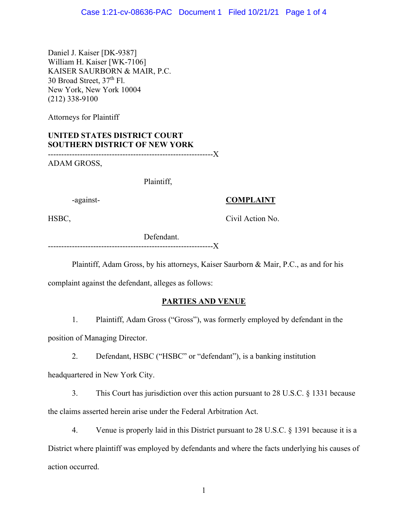Daniel J. Kaiser [DK-9387] William H. Kaiser [WK-7106] KAISER SAURBORN & MAIR, P.C. 30 Broad Street, 37th Fl. New York, New York 10004 (212) 338-9100

Attorneys for Plaintiff

## **UNITED STATES DISTRICT COURT SOUTHERN DISTRICT OF NEW YORK**

--------------------------------------------------------------X

ADAM GROSS,

Plaintiff,

## -against- **COMPLAINT**

HSBC, Civil Action No.

 Defendant. --------------------------------------------------------------X

Plaintiff, Adam Gross, by his attorneys, Kaiser Saurborn & Mair, P.C., as and for his

complaint against the defendant, alleges as follows:

## **PARTIES AND VENUE**

1. Plaintiff, Adam Gross ("Gross"), was formerly employed by defendant in the

position of Managing Director.

2. Defendant, HSBC ("HSBC" or "defendant"), is a banking institution

headquartered in New York City.

3. This Court has jurisdiction over this action pursuant to 28 U.S.C. § 1331 because the claims asserted herein arise under the Federal Arbitration Act.

4. Venue is properly laid in this District pursuant to 28 U.S.C. § 1391 because it is a District where plaintiff was employed by defendants and where the facts underlying his causes of action occurred.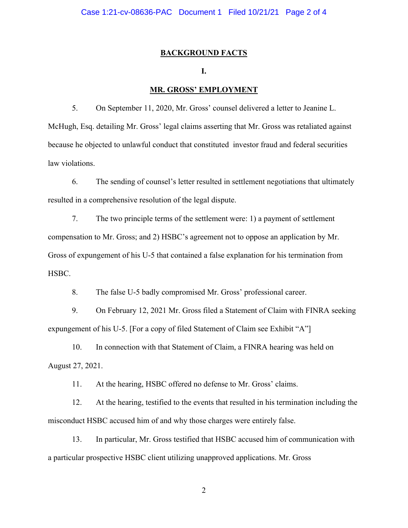#### **BACKGROUND FACTS**

## **I.**

#### **MR. GROSS' EMPLOYMENT**

5. On September 11, 2020, Mr. Gross' counsel delivered a letter to Jeanine L. McHugh, Esq. detailing Mr. Gross' legal claims asserting that Mr. Gross was retaliated against because he objected to unlawful conduct that constituted investor fraud and federal securities law violations.

6. The sending of counsel's letter resulted in settlement negotiations that ultimately resulted in a comprehensive resolution of the legal dispute.

7. The two principle terms of the settlement were: 1) a payment of settlement compensation to Mr. Gross; and 2) HSBC's agreement not to oppose an application by Mr. Gross of expungement of his U-5 that contained a false explanation for his termination from HSBC.

8. The false U-5 badly compromised Mr. Gross' professional career.

9. On February 12, 2021 Mr. Gross filed a Statement of Claim with FINRA seeking expungement of his U-5. [For a copy of filed Statement of Claim see Exhibit "A"]

10. In connection with that Statement of Claim, a FINRA hearing was held on August 27, 2021.

11. At the hearing, HSBC offered no defense to Mr. Gross' claims.

12. At the hearing, testified to the events that resulted in his termination including the misconduct HSBC accused him of and why those charges were entirely false.

13. In particular, Mr. Gross testified that HSBC accused him of communication with a particular prospective HSBC client utilizing unapproved applications. Mr. Gross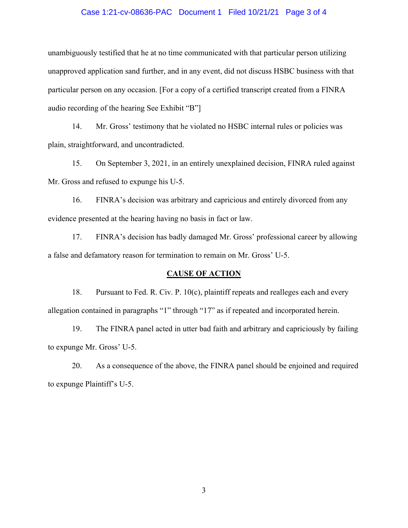#### Case 1:21-cv-08636-PAC Document 1 Filed 10/21/21 Page 3 of 4

unambiguously testified that he at no time communicated with that particular person utilizing unapproved application sand further, and in any event, did not discuss HSBC business with that particular person on any occasion. [For a copy of a certified transcript created from a FINRA audio recording of the hearing See Exhibit "B"]

14. Mr. Gross' testimony that he violated no HSBC internal rules or policies was plain, straightforward, and uncontradicted.

15. On September 3, 2021, in an entirely unexplained decision, FINRA ruled against Mr. Gross and refused to expunge his U-5.

16. FINRA's decision was arbitrary and capricious and entirely divorced from any evidence presented at the hearing having no basis in fact or law.

17. FINRA's decision has badly damaged Mr. Gross' professional career by allowing a false and defamatory reason for termination to remain on Mr. Gross' U-5.

#### **CAUSE OF ACTION**

18. Pursuant to Fed. R. Civ. P. 10(c), plaintiff repeats and realleges each and every allegation contained in paragraphs "1" through "17" as if repeated and incorporated herein.

19. The FINRA panel acted in utter bad faith and arbitrary and capriciously by failing to expunge Mr. Gross' U-5.

20. As a consequence of the above, the FINRA panel should be enjoined and required to expunge Plaintiff's U-5.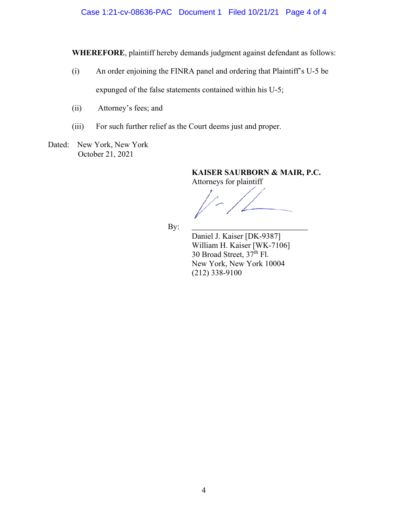**WHEREFORE**, plaintiff hereby demands judgment against defendant as follows:

- (i) An order enjoining the FINRA panel and ordering that Plaintiff's U-5 be expunged of the false statements contained within his U-5;
- (ii) Attorney's fees; and
- (iii) For such further relief as the Court deems just and proper.

Dated: New York, New York October 21, 2021

> **KAISER SAURBORN & MAIR, P.C.**  Attorneys for plaintiff

**By:**  $\frac{1}{2}$  **By:**  $\frac{1}{2}$  **By:**  $\frac{1}{2}$  **By:**  $\frac{1}{2}$  **By:**  $\frac{1}{2}$  **By:**  $\frac{1}{2}$  **By:**  $\frac{1}{2}$  **By:**  $\frac{1}{2}$  **By:**  $\frac{1}{2}$  **By:**  $\frac{1}{2}$  **By:**  $\frac{1}{2}$  **By:**  $\frac{1}{2}$  **By:**  $\frac{1}{2}$  **By:**  $\frac{1}{2}$ 

 Daniel J. Kaiser [DK-9387] William H. Kaiser [WK-7106] 30 Broad Street,  $37^{\text{th}}$  Fl. New York, New York 10004 (212) 338-9100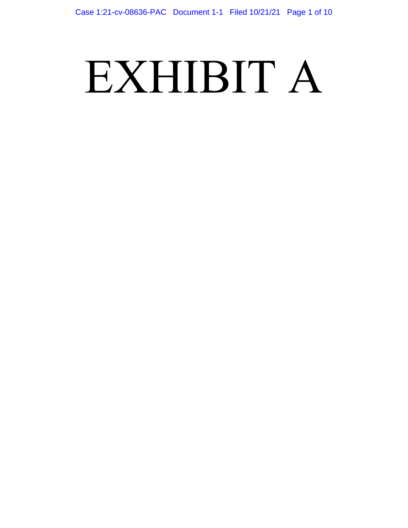# EXHIBIT A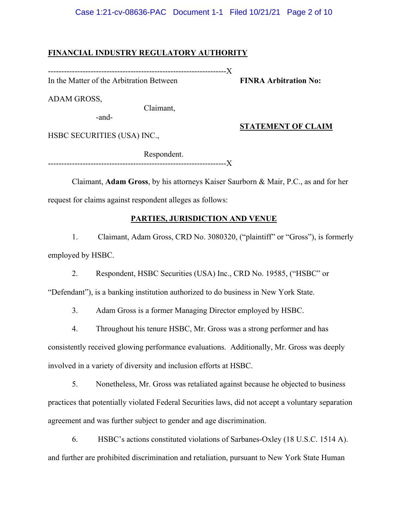### Case 1:21-cv-08636-PAC Document 1-1 Filed 10/21/21 Page 2 of 10

### **FINANCIAL INDUSTRY REGULATORY AUTHORITY**

-------------------------------------------------------------------X

In the Matter of the Arbitration Between **FINRA Arbitration No:** 

ADAM GROSS,

Claimant,

-and-

## **STATEMENT OF CLAIM**

HSBC SECURITIES (USA) INC.,

 Respondent. ------------------------------------

 Claimant, **Adam Gross**, by his attorneys Kaiser Saurborn & Mair, P.C., as and for her request for claims against respondent alleges as follows:

## **PARTIES, JURISDICTION AND VENUE**

1. Claimant, Adam Gross, CRD No. 3080320, ("plaintiff" or "Gross"), is formerly employed by HSBC.

2. Respondent, HSBC Securities (USA) Inc., CRD No. 19585, ("HSBC" or

"Defendant"), is a banking institution authorized to do business in New York State.

3. Adam Gross is a former Managing Director employed by HSBC.

4. Throughout his tenure HSBC, Mr. Gross was a strong performer and has consistently received glowing performance evaluations. Additionally, Mr. Gross was deeply involved in a variety of diversity and inclusion efforts at HSBC.

5. Nonetheless, Mr. Gross was retaliated against because he objected to business practices that potentially violated Federal Securities laws, did not accept a voluntary separation agreement and was further subject to gender and age discrimination.

6. HSBC's actions constituted violations of Sarbanes-Oxley (18 U.S.C. 1514 A). and further are prohibited discrimination and retaliation, pursuant to New York State Human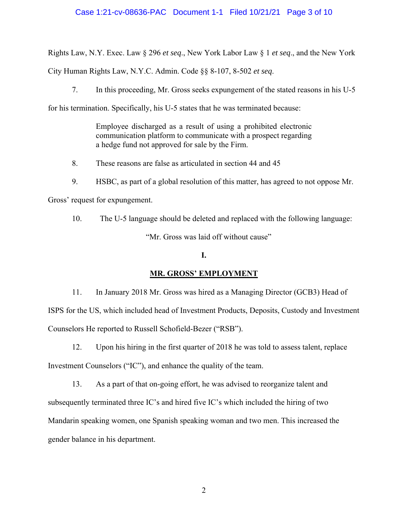## Case 1:21-cv-08636-PAC Document 1-1 Filed 10/21/21 Page 3 of 10

Rights Law, N.Y. Exec. Law § 296 *et seq*., New York Labor Law § 1 *et seq*., and the New York

City Human Rights Law, N.Y.C. Admin. Code §§ 8-107, 8-502 *et seq*.

7. In this proceeding, Mr. Gross seeks expungement of the stated reasons in his U-5

for his termination. Specifically, his U-5 states that he was terminated because:

Employee discharged as a result of using a prohibited electronic communication platform to communicate with a prospect regarding a hedge fund not approved for sale by the Firm.

8. These reasons are false as articulated in section 44 and 45

9. HSBC, as part of a global resolution of this matter, has agreed to not oppose Mr.

Gross' request for expungement.

10. The U-5 language should be deleted and replaced with the following language: "Mr. Gross was laid off without cause"

#### **I.**

## **MR. GROSS' EMPLOYMENT**

11. In January 2018 Mr. Gross was hired as a Managing Director (GCB3) Head of ISPS for the US, which included head of Investment Products, Deposits, Custody and Investment Counselors He reported to Russell Schofield-Bezer ("RSB").

12. Upon his hiring in the first quarter of 2018 he was told to assess talent, replace Investment Counselors ("IC"), and enhance the quality of the team.

13. As a part of that on-going effort, he was advised to reorganize talent and subsequently terminated three IC's and hired five IC's which included the hiring of two Mandarin speaking women, one Spanish speaking woman and two men. This increased the gender balance in his department.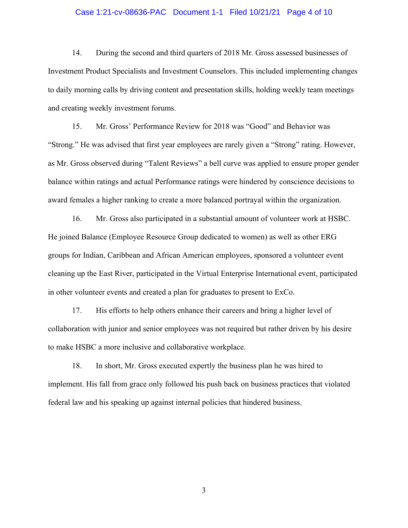#### Case 1:21-cv-08636-PAC Document 1-1 Filed 10/21/21 Page 4 of 10

14. During the second and third quarters of 2018 Mr. Gross assessed businesses of Investment Product Specialists and Investment Counselors. This included implementing changes to daily morning calls by driving content and presentation skills, holding weekly team meetings and creating weekly investment forums.

15. Mr. Gross' Performance Review for 2018 was "Good" and Behavior was "Strong." He was advised that first year employees are rarely given a "Strong" rating. However, as Mr. Gross observed during "Talent Reviews" a bell curve was applied to ensure proper gender balance within ratings and actual Performance ratings were hindered by conscience decisions to award females a higher ranking to create a more balanced portrayal within the organization.

16. Mr. Gross also participated in a substantial amount of volunteer work at HSBC. He joined Balance (Employee Resource Group dedicated to women) as well as other ERG groups for Indian, Caribbean and African American employees, sponsored a volunteer event cleaning up the East River, participated in the Virtual Enterprise International event, participated in other volunteer events and created a plan for graduates to present to ExCo.

17. His efforts to help others enhance their careers and bring a higher level of collaboration with junior and senior employees was not required but rather driven by his desire to make HSBC a more inclusive and collaborative workplace.

18. In short, Mr. Gross executed expertly the business plan he was hired to implement. His fall from grace only followed his push back on business practices that violated federal law and his speaking up against internal policies that hindered business.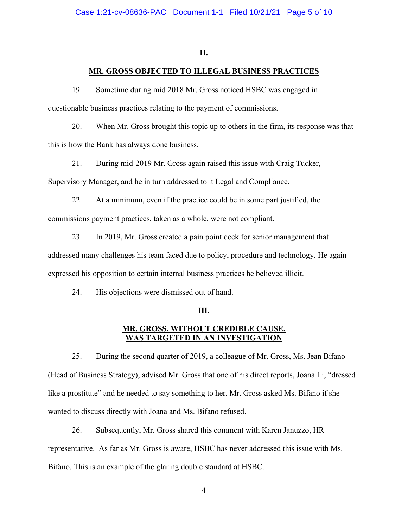### **II.**

## **MR. GROSS OBJECTED TO ILLEGAL BUSINESS PRACTICES**

19. Sometime during mid 2018 Mr. Gross noticed HSBC was engaged in questionable business practices relating to the payment of commissions.

20. When Mr. Gross brought this topic up to others in the firm, its response was that this is how the Bank has always done business.

21. During mid-2019 Mr. Gross again raised this issue with Craig Tucker, Supervisory Manager, and he in turn addressed to it Legal and Compliance.

22. At a minimum, even if the practice could be in some part justified, the commissions payment practices, taken as a whole, were not compliant.

23. In 2019, Mr. Gross created a pain point deck for senior management that

addressed many challenges his team faced due to policy, procedure and technology. He again expressed his opposition to certain internal business practices he believed illicit.

24. His objections were dismissed out of hand.

#### **III.**

## **MR. GROSS, WITHOUT CREDIBLE CAUSE, WAS TARGETED IN AN INVESTIGATION**

25. During the second quarter of 2019, a colleague of Mr. Gross, Ms. Jean Bifano (Head of Business Strategy), advised Mr. Gross that one of his direct reports, Joana Li, "dressed like a prostitute" and he needed to say something to her. Mr. Gross asked Ms. Bifano if she wanted to discuss directly with Joana and Ms. Bifano refused.

26. Subsequently, Mr. Gross shared this comment with Karen Januzzo, HR representative. As far as Mr. Gross is aware, HSBC has never addressed this issue with Ms. Bifano. This is an example of the glaring double standard at HSBC.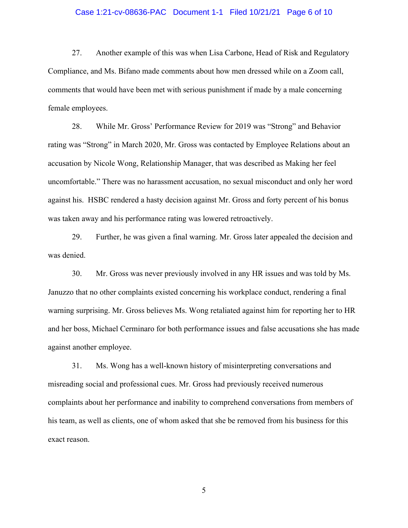#### Case 1:21-cv-08636-PAC Document 1-1 Filed 10/21/21 Page 6 of 10

27. Another example of this was when Lisa Carbone, Head of Risk and Regulatory Compliance, and Ms. Bifano made comments about how men dressed while on a Zoom call, comments that would have been met with serious punishment if made by a male concerning female employees.

28. While Mr. Gross' Performance Review for 2019 was "Strong" and Behavior rating was "Strong" in March 2020, Mr. Gross was contacted by Employee Relations about an accusation by Nicole Wong, Relationship Manager, that was described as Making her feel uncomfortable." There was no harassment accusation, no sexual misconduct and only her word against his. HSBC rendered a hasty decision against Mr. Gross and forty percent of his bonus was taken away and his performance rating was lowered retroactively.

29. Further, he was given a final warning. Mr. Gross later appealed the decision and was denied.

30. Mr. Gross was never previously involved in any HR issues and was told by Ms. Januzzo that no other complaints existed concerning his workplace conduct, rendering a final warning surprising. Mr. Gross believes Ms. Wong retaliated against him for reporting her to HR and her boss, Michael Cerminaro for both performance issues and false accusations she has made against another employee.

31. Ms. Wong has a well-known history of misinterpreting conversations and misreading social and professional cues. Mr. Gross had previously received numerous complaints about her performance and inability to comprehend conversations from members of his team, as well as clients, one of whom asked that she be removed from his business for this exact reason.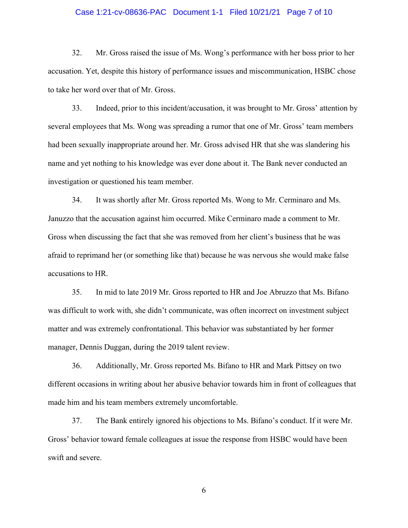#### Case 1:21-cv-08636-PAC Document 1-1 Filed 10/21/21 Page 7 of 10

32. Mr. Gross raised the issue of Ms. Wong's performance with her boss prior to her accusation. Yet, despite this history of performance issues and miscommunication, HSBC chose to take her word over that of Mr. Gross.

33. Indeed, prior to this incident/accusation, it was brought to Mr. Gross' attention by several employees that Ms. Wong was spreading a rumor that one of Mr. Gross' team members had been sexually inappropriate around her. Mr. Gross advised HR that she was slandering his name and yet nothing to his knowledge was ever done about it. The Bank never conducted an investigation or questioned his team member.

34. It was shortly after Mr. Gross reported Ms. Wong to Mr. Cerminaro and Ms. Januzzo that the accusation against him occurred. Mike Cerminaro made a comment to Mr. Gross when discussing the fact that she was removed from her client's business that he was afraid to reprimand her (or something like that) because he was nervous she would make false accusations to HR.

35. In mid to late 2019 Mr. Gross reported to HR and Joe Abruzzo that Ms. Bifano was difficult to work with, she didn't communicate, was often incorrect on investment subject matter and was extremely confrontational. This behavior was substantiated by her former manager, Dennis Duggan, during the 2019 talent review.

36. Additionally, Mr. Gross reported Ms. Bifano to HR and Mark Pittsey on two different occasions in writing about her abusive behavior towards him in front of colleagues that made him and his team members extremely uncomfortable.

37. The Bank entirely ignored his objections to Ms. Bifano's conduct. If it were Mr. Gross' behavior toward female colleagues at issue the response from HSBC would have been swift and severe.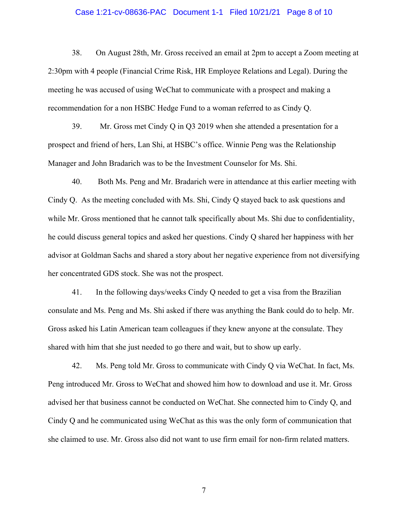#### Case 1:21-cv-08636-PAC Document 1-1 Filed 10/21/21 Page 8 of 10

38. On August 28th, Mr. Gross received an email at 2pm to accept a Zoom meeting at 2:30pm with 4 people (Financial Crime Risk, HR Employee Relations and Legal). During the meeting he was accused of using WeChat to communicate with a prospect and making a recommendation for a non HSBC Hedge Fund to a woman referred to as Cindy Q.

39. Mr. Gross met Cindy Q in Q3 2019 when she attended a presentation for a prospect and friend of hers, Lan Shi, at HSBC's office. Winnie Peng was the Relationship Manager and John Bradarich was to be the Investment Counselor for Ms. Shi.

40. Both Ms. Peng and Mr. Bradarich were in attendance at this earlier meeting with Cindy Q. As the meeting concluded with Ms. Shi, Cindy Q stayed back to ask questions and while Mr. Gross mentioned that he cannot talk specifically about Ms. Shi due to confidentiality, he could discuss general topics and asked her questions. Cindy Q shared her happiness with her advisor at Goldman Sachs and shared a story about her negative experience from not diversifying her concentrated GDS stock. She was not the prospect.

41. In the following days/weeks Cindy Q needed to get a visa from the Brazilian consulate and Ms. Peng and Ms. Shi asked if there was anything the Bank could do to help. Mr. Gross asked his Latin American team colleagues if they knew anyone at the consulate. They shared with him that she just needed to go there and wait, but to show up early.

42. Ms. Peng told Mr. Gross to communicate with Cindy Q via WeChat. In fact, Ms. Peng introduced Mr. Gross to WeChat and showed him how to download and use it. Mr. Gross advised her that business cannot be conducted on WeChat. She connected him to Cindy Q, and Cindy Q and he communicated using WeChat as this was the only form of communication that she claimed to use. Mr. Gross also did not want to use firm email for non-firm related matters.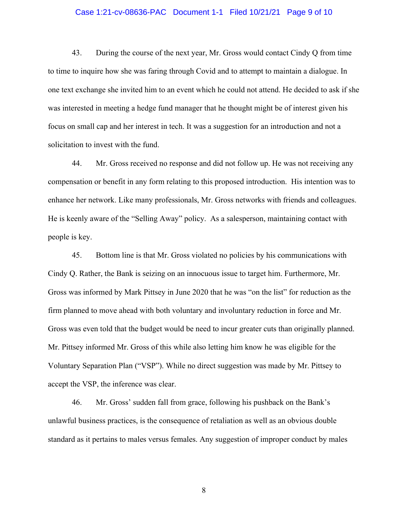#### Case 1:21-cv-08636-PAC Document 1-1 Filed 10/21/21 Page 9 of 10

43. During the course of the next year, Mr. Gross would contact Cindy Q from time to time to inquire how she was faring through Covid and to attempt to maintain a dialogue. In one text exchange she invited him to an event which he could not attend. He decided to ask if she was interested in meeting a hedge fund manager that he thought might be of interest given his focus on small cap and her interest in tech. It was a suggestion for an introduction and not a solicitation to invest with the fund.

44. Mr. Gross received no response and did not follow up. He was not receiving any compensation or benefit in any form relating to this proposed introduction. His intention was to enhance her network. Like many professionals, Mr. Gross networks with friends and colleagues. He is keenly aware of the "Selling Away" policy. As a salesperson, maintaining contact with people is key.

45. Bottom line is that Mr. Gross violated no policies by his communications with Cindy Q. Rather, the Bank is seizing on an innocuous issue to target him. Furthermore, Mr. Gross was informed by Mark Pittsey in June 2020 that he was "on the list" for reduction as the firm planned to move ahead with both voluntary and involuntary reduction in force and Mr. Gross was even told that the budget would be need to incur greater cuts than originally planned. Mr. Pittsey informed Mr. Gross of this while also letting him know he was eligible for the Voluntary Separation Plan ("VSP"). While no direct suggestion was made by Mr. Pittsey to accept the VSP, the inference was clear.

46. Mr. Gross' sudden fall from grace, following his pushback on the Bank's unlawful business practices, is the consequence of retaliation as well as an obvious double standard as it pertains to males versus females. Any suggestion of improper conduct by males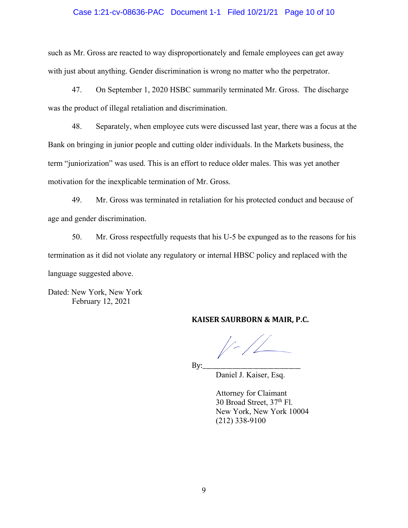#### Case 1:21-cv-08636-PAC Document 1-1 Filed 10/21/21 Page 10 of 10

such as Mr. Gross are reacted to way disproportionately and female employees can get away with just about anything. Gender discrimination is wrong no matter who the perpetrator.

47. On September 1, 2020 HSBC summarily terminated Mr. Gross. The discharge was the product of illegal retaliation and discrimination.

48. Separately, when employee cuts were discussed last year, there was a focus at the Bank on bringing in junior people and cutting older individuals. In the Markets business, the term "juniorization" was used. This is an effort to reduce older males. This was yet another motivation for the inexplicable termination of Mr. Gross.

49. Mr. Gross was terminated in retaliation for his protected conduct and because of age and gender discrimination.

50. Mr. Gross respectfully requests that his U-5 be expunged as to the reasons for his termination as it did not violate any regulatory or internal HBSC policy and replaced with the language suggested above.

Dated: New York, New York February 12, 2021

## **KAISER SAURBORN & MAIR, P.C.**

By:\_\_\_\_\_\_\_\_\_\_\_\_\_\_\_\_\_\_\_\_\_\_\_\_\_\_\_\_\_\_\_\_\_

Daniel J. Kaiser, Esq.

 Attorney for Claimant 30 Broad Street, 37<sup>th</sup> Fl. New York, New York 10004 (212) 338-9100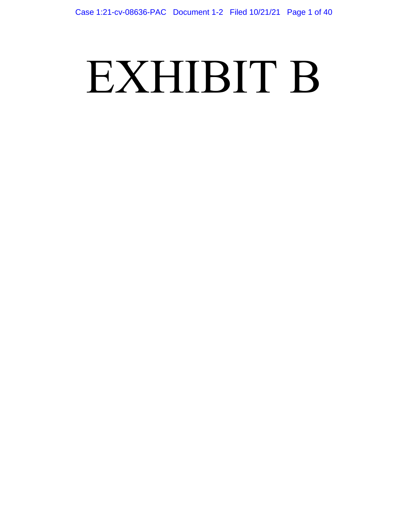# EXHIBIT B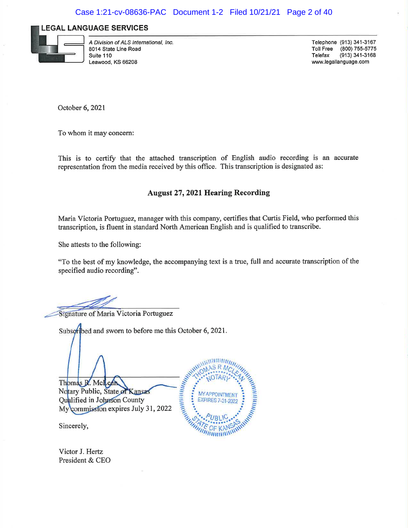#### **LEGAL LANGUAGE SERVICES**



A Division of ALS International, Inc. 8014 State Line Road Suite 110 Leawood, KS 66208

Telephone (913) 341-3167 (800) 755-5775 **Toll Free** Telefax  $(913)$  341-3168 www.legallanguage.com

October 6, 2021

To whom it may concern:

This is to certify that the attached transcription of English audio recording is an accurate representation from the media received by this office. This transcription is designated as:

## **August 27, 2021 Hearing Recording**

Maria Victoria Portuguez, manager with this company, certifies that Curtis Field, who performed this transcription, is fluent in standard North American English and is qualified to transcribe.

She attests to the following:

"To the best of my knowledge, the accompanying text is a true, full and accurate transcription of the specified audio recording".

Antaramantan

**MY APPOINTMENT** 

**EXPIRES 7-31-2022** 

Signature of Maria Victoria Portuguez

Subsortbed and sworn to before me this October 6, 2021.

Thomas R. McLean Notary Public, State of Kansas Qualified in Johnson County My commission expires July 31, 2022

Sincerely,

Victor J. Hertz President & CEO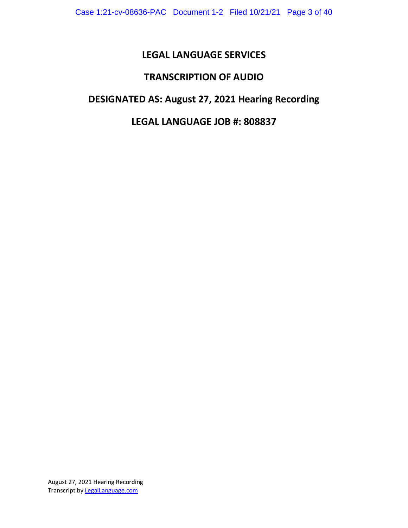# **LEGAL LANGUAGE SERVICES**

# **TRANSCRIPTION OF AUDIO**

## **DESIGNATED AS: August 27, 2021 Hearing Recording**

## **LEGAL LANGUAGE JOB #: 808837**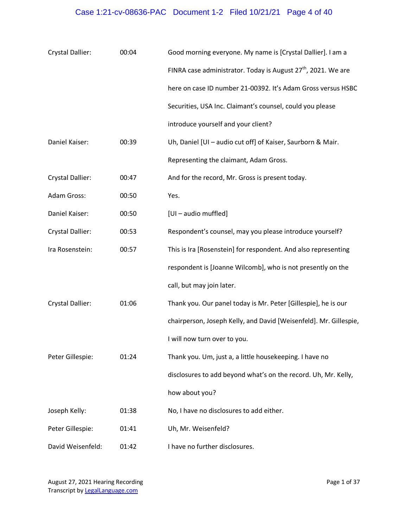# Case 1:21-cv-08636-PAC Document 1-2 Filed 10/21/21 Page 4 of 40

| Crystal Dallier:        | 00:04 | Good morning everyone. My name is [Crystal Dallier]. I am a               |
|-------------------------|-------|---------------------------------------------------------------------------|
|                         |       | FINRA case administrator. Today is August 27 <sup>th</sup> , 2021. We are |
|                         |       | here on case ID number 21-00392. It's Adam Gross versus HSBC              |
|                         |       | Securities, USA Inc. Claimant's counsel, could you please                 |
|                         |       | introduce yourself and your client?                                       |
| Daniel Kaiser:          | 00:39 | Uh, Daniel [UI - audio cut off] of Kaiser, Saurborn & Mair.               |
|                         |       | Representing the claimant, Adam Gross.                                    |
| <b>Crystal Dallier:</b> | 00:47 | And for the record, Mr. Gross is present today.                           |
| Adam Gross:             | 00:50 | Yes.                                                                      |
| Daniel Kaiser:          | 00:50 | [UI-audio muffled]                                                        |
| Crystal Dallier:        | 00:53 | Respondent's counsel, may you please introduce yourself?                  |
| Ira Rosenstein:         | 00:57 | This is Ira [Rosenstein] for respondent. And also representing            |
|                         |       | respondent is [Joanne Wilcomb], who is not presently on the               |
|                         |       | call, but may join later.                                                 |
| <b>Crystal Dallier:</b> | 01:06 | Thank you. Our panel today is Mr. Peter [Gillespie], he is our            |
|                         |       | chairperson, Joseph Kelly, and David [Weisenfeld]. Mr. Gillespie,         |
|                         |       | I will now turn over to you.                                              |
| Peter Gillespie:        | 01:24 | Thank you. Um, just a, a little housekeeping. I have no                   |
|                         |       | disclosures to add beyond what's on the record. Uh, Mr. Kelly,            |
|                         |       | how about you?                                                            |
| Joseph Kelly:           | 01:38 | No, I have no disclosures to add either.                                  |
| Peter Gillespie:        | 01:41 | Uh, Mr. Weisenfeld?                                                       |
| David Weisenfeld:       | 01:42 | I have no further disclosures.                                            |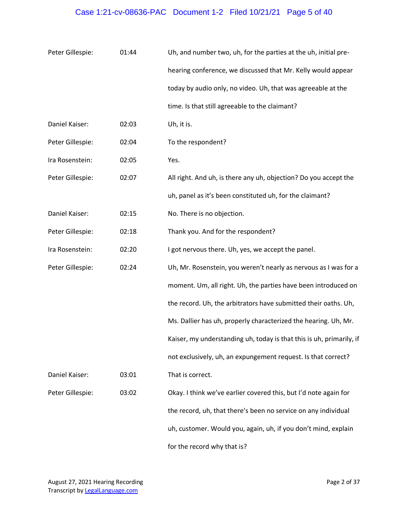# Case 1:21-cv-08636-PAC Document 1-2 Filed 10/21/21 Page 5 of 40

| Peter Gillespie: | 01:44 | Uh, and number two, uh, for the parties at the uh, initial pre-      |
|------------------|-------|----------------------------------------------------------------------|
|                  |       | hearing conference, we discussed that Mr. Kelly would appear         |
|                  |       | today by audio only, no video. Uh, that was agreeable at the         |
|                  |       | time. Is that still agreeable to the claimant?                       |
| Daniel Kaiser:   | 02:03 | Uh, it is.                                                           |
| Peter Gillespie: | 02:04 | To the respondent?                                                   |
| Ira Rosenstein:  | 02:05 | Yes.                                                                 |
| Peter Gillespie: | 02:07 | All right. And uh, is there any uh, objection? Do you accept the     |
|                  |       | uh, panel as it's been constituted uh, for the claimant?             |
| Daniel Kaiser:   | 02:15 | No. There is no objection.                                           |
| Peter Gillespie: | 02:18 | Thank you. And for the respondent?                                   |
| Ira Rosenstein:  | 02:20 | I got nervous there. Uh, yes, we accept the panel.                   |
| Peter Gillespie: | 02:24 | Uh, Mr. Rosenstein, you weren't nearly as nervous as I was for a     |
|                  |       | moment. Um, all right. Uh, the parties have been introduced on       |
|                  |       | the record. Uh, the arbitrators have submitted their oaths. Uh,      |
|                  |       | Ms. Dallier has uh, properly characterized the hearing. Uh, Mr.      |
|                  |       | Kaiser, my understanding uh, today is that this is uh, primarily, if |
|                  |       | not exclusively, uh, an expungement request. Is that correct?        |
| Daniel Kaiser:   | 03:01 | That is correct.                                                     |
| Peter Gillespie: | 03:02 | Okay. I think we've earlier covered this, but I'd note again for     |
|                  |       | the record, uh, that there's been no service on any individual       |
|                  |       | uh, customer. Would you, again, uh, if you don't mind, explain       |
|                  |       | for the record why that is?                                          |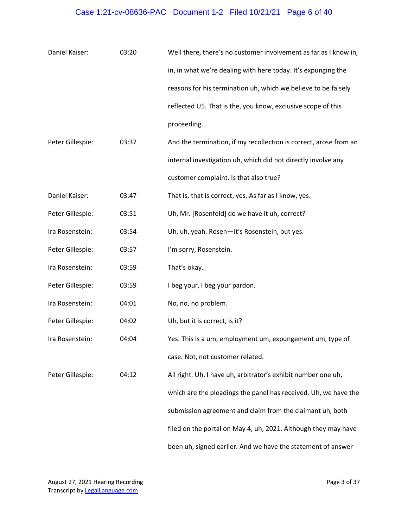# Case 1:21-cv-08636-PAC Document 1-2 Filed 10/21/21 Page 6 of 40

| Daniel Kaiser:   | 03:20 | Well there, there's no customer involvement as far as I know in,  |
|------------------|-------|-------------------------------------------------------------------|
|                  |       | in, in what we're dealing with here today. It's expunging the     |
|                  |       | reasons for his termination uh, which we believe to be falsely    |
|                  |       | reflected U5. That is the, you know, exclusive scope of this      |
|                  |       | proceeding.                                                       |
| Peter Gillespie: | 03:37 | And the termination, if my recollection is correct, arose from an |
|                  |       | internal investigation uh, which did not directly involve any     |
|                  |       | customer complaint. Is that also true?                            |
| Daniel Kaiser:   | 03:47 | That is, that is correct, yes. As far as I know, yes.             |
| Peter Gillespie: | 03:51 | Uh, Mr. [Rosenfeld] do we have it uh, correct?                    |
| Ira Rosenstein:  | 03:54 | Uh, uh, yeah. Rosen-it's Rosenstein, but yes.                     |
| Peter Gillespie: | 03:57 | I'm sorry, Rosenstein.                                            |
| Ira Rosenstein:  | 03:59 | That's okay.                                                      |
| Peter Gillespie: | 03:59 | I beg your, I beg your pardon.                                    |
| Ira Rosenstein:  | 04:01 | No, no, no problem.                                               |
| Peter Gillespie: | 04:02 | Uh, but it is correct, is it?                                     |
| Ira Rosenstein:  | 04:04 | Yes. This is a um, employment um, expungement um, type of         |
|                  |       | case. Not, not customer related.                                  |
| Peter Gillespie: | 04:12 | All right. Uh, I have uh, arbitrator's exhibit number one uh,     |
|                  |       | which are the pleadings the panel has received. Uh, we have the   |
|                  |       | submission agreement and claim from the claimant uh, both         |
|                  |       | filed on the portal on May 4, uh, 2021. Although they may have    |
|                  |       | been uh, signed earlier. And we have the statement of answer      |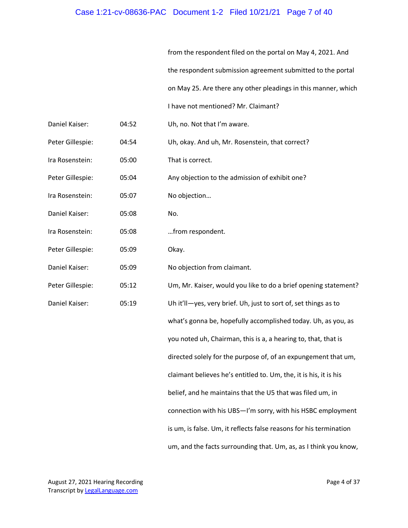## Case 1:21-cv-08636-PAC Document 1-2 Filed 10/21/21 Page 7 of 40

from the respondent filed on the portal on May 4, 2021. And the respondent submission agreement submitted to the portal on May 25. Are there any other pleadings in this manner, which I have not mentioned? Mr. Claimant?

- Daniel Kaiser: 04:52 Uh, no. Not that I'm aware.
- Peter Gillespie: 04:54 Uh, okay. And uh, Mr. Rosenstein, that correct?
- Ira Rosenstein: 05:00 That is correct.

Peter Gillespie: 05:04 Any objection to the admission of exhibit one?

- Ira Rosenstein: 05:07 No objection…
- Daniel Kaiser: 05:08 No.
- Ira Rosenstein: 05:08 …from respondent.
- Peter Gillespie: 05:09 Okay.

Daniel Kaiser: 05:09 No objection from claimant.

Peter Gillespie: 05:12 Um, Mr. Kaiser, would you like to do a brief opening statement? Daniel Kaiser: 05:19 Uh it'll—yes, very brief. Uh, just to sort of, set things as to what's gonna be, hopefully accomplished today. Uh, as you, as you noted uh, Chairman, this is a, a hearing to, that, that is directed solely for the purpose of, of an expungement that um, claimant believes he's entitled to. Um, the, it is his, it is his belief, and he maintains that the U5 that was filed um, in connection with his UBS—I'm sorry, with his HSBC employment is um, is false. Um, it reflects false reasons for his termination um, and the facts surrounding that. Um, as, as I think you know,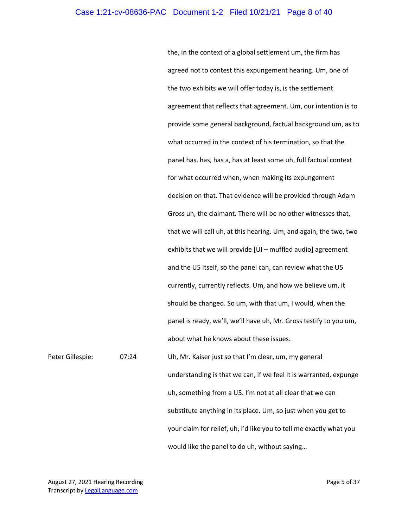#### Case 1:21-cv-08636-PAC Document 1-2 Filed 10/21/21 Page 8 of 40

the, in the context of a global settlement um, the firm has agreed not to contest this expungement hearing. Um, one of the two exhibits we will offer today is, is the settlement agreement that reflects that agreement. Um, our intention is to provide some general background, factual background um, as to what occurred in the context of his termination, so that the panel has, has, has a, has at least some uh, full factual context for what occurred when, when making its expungement decision on that. That evidence will be provided through Adam Gross uh, the claimant. There will be no other witnesses that, that we will call uh, at this hearing. Um, and again, the two, two exhibits that we will provide [UI – muffled audio] agreement and the U5 itself, so the panel can, can review what the U5 currently, currently reflects. Um, and how we believe um, it should be changed. So um, with that um, I would, when the panel is ready, we'll, we'll have uh, Mr. Gross testify to you um, about what he knows about these issues.

Peter Gillespie: 07:24 Uh, Mr. Kaiser just so that I'm clear, um, my general understanding is that we can, if we feel it is warranted, expunge uh, something from a U5. I'm not at all clear that we can substitute anything in its place. Um, so just when you get to your claim for relief, uh, I'd like you to tell me exactly what you would like the panel to do uh, without saying…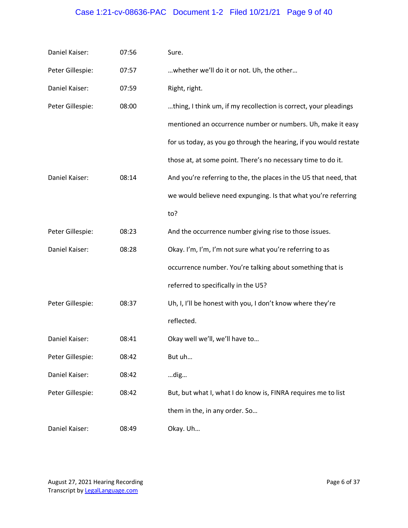# Case 1:21-cv-08636-PAC Document 1-2 Filed 10/21/21 Page 9 of 40

| Daniel Kaiser:   | 07:56 | Sure.                                                             |
|------------------|-------|-------------------------------------------------------------------|
| Peter Gillespie: | 07:57 | whether we'll do it or not. Uh, the other                         |
| Daniel Kaiser:   | 07:59 | Right, right.                                                     |
| Peter Gillespie: | 08:00 | thing, I think um, if my recollection is correct, your pleadings  |
|                  |       | mentioned an occurrence number or numbers. Uh, make it easy       |
|                  |       | for us today, as you go through the hearing, if you would restate |
|                  |       | those at, at some point. There's no necessary time to do it.      |
| Daniel Kaiser:   | 08:14 | And you're referring to the, the places in the U5 that need, that |
|                  |       | we would believe need expunging. Is that what you're referring    |
|                  |       | to?                                                               |
| Peter Gillespie: | 08:23 | And the occurrence number giving rise to those issues.            |
| Daniel Kaiser:   | 08:28 | Okay. I'm, I'm, I'm not sure what you're referring to as          |
|                  |       | occurrence number. You're talking about something that is         |
|                  |       | referred to specifically in the U5?                               |
| Peter Gillespie: | 08:37 | Uh, I, I'll be honest with you, I don't know where they're        |
|                  |       | reflected.                                                        |
| Daniel Kaiser:   | 08:41 | Okay well we'll, we'll have to                                    |
| Peter Gillespie: | 08:42 | But uh                                                            |
| Daniel Kaiser:   | 08:42 | dig                                                               |
| Peter Gillespie: | 08:42 | But, but what I, what I do know is, FINRA requires me to list     |
|                  |       | them in the, in any order. So                                     |
| Daniel Kaiser:   | 08:49 | Okay. Uh                                                          |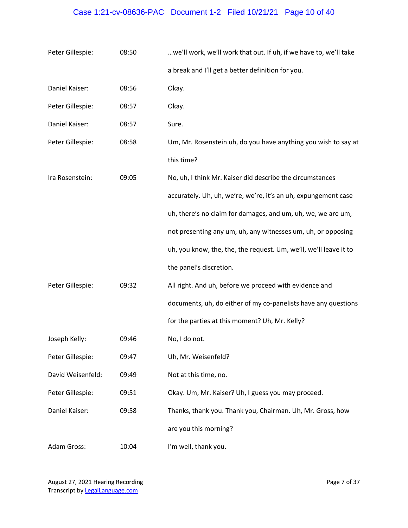# Case 1:21-cv-08636-PAC Document 1-2 Filed 10/21/21 Page 10 of 40

| Peter Gillespie:  | 08:50 | we'll work, we'll work that out. If uh, if we have to, we'll take |
|-------------------|-------|-------------------------------------------------------------------|
|                   |       | a break and I'll get a better definition for you.                 |
| Daniel Kaiser:    | 08:56 | Okay.                                                             |
| Peter Gillespie:  | 08:57 | Okay.                                                             |
| Daniel Kaiser:    | 08:57 | Sure.                                                             |
| Peter Gillespie:  | 08:58 | Um, Mr. Rosenstein uh, do you have anything you wish to say at    |
|                   |       | this time?                                                        |
| Ira Rosenstein:   | 09:05 | No, uh, I think Mr. Kaiser did describe the circumstances         |
|                   |       | accurately. Uh, uh, we're, we're, it's an uh, expungement case    |
|                   |       | uh, there's no claim for damages, and um, uh, we, we are um,      |
|                   |       | not presenting any um, uh, any witnesses um, uh, or opposing      |
|                   |       | uh, you know, the, the, the request. Um, we'll, we'll leave it to |
|                   |       | the panel's discretion.                                           |
| Peter Gillespie:  | 09:32 | All right. And uh, before we proceed with evidence and            |
|                   |       | documents, uh, do either of my co-panelists have any questions    |
|                   |       | for the parties at this moment? Uh, Mr. Kelly?                    |
| Joseph Kelly:     | 09:46 | No, I do not.                                                     |
| Peter Gillespie:  | 09:47 | Uh, Mr. Weisenfeld?                                               |
| David Weisenfeld: | 09:49 | Not at this time, no.                                             |
| Peter Gillespie:  | 09:51 | Okay. Um, Mr. Kaiser? Uh, I guess you may proceed.                |
| Daniel Kaiser:    | 09:58 | Thanks, thank you. Thank you, Chairman. Uh, Mr. Gross, how        |
|                   |       | are you this morning?                                             |
| Adam Gross:       | 10:04 | I'm well, thank you.                                              |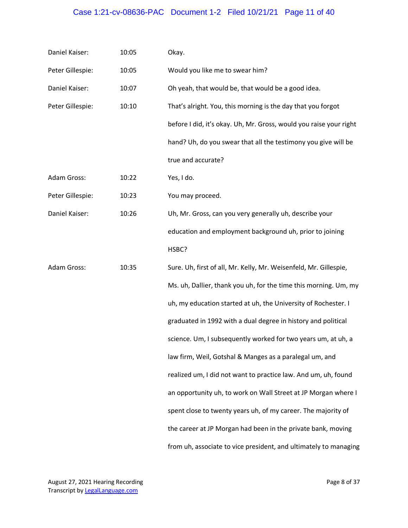## Case 1:21-cv-08636-PAC Document 1-2 Filed 10/21/21 Page 11 of 40

| Daniel Kaiser:   | 10:05 | Okay.                                                              |
|------------------|-------|--------------------------------------------------------------------|
| Peter Gillespie: | 10:05 | Would you like me to swear him?                                    |
| Daniel Kaiser:   | 10:07 | Oh yeah, that would be, that would be a good idea.                 |
| Peter Gillespie: | 10:10 | That's alright. You, this morning is the day that you forgot       |
|                  |       | before I did, it's okay. Uh, Mr. Gross, would you raise your right |
|                  |       | hand? Uh, do you swear that all the testimony you give will be     |
|                  |       | true and accurate?                                                 |
| Adam Gross:      | 10:22 | Yes, I do.                                                         |
| Peter Gillespie: | 10:23 | You may proceed.                                                   |
| Daniel Kaiser:   | 10:26 | Uh, Mr. Gross, can you very generally uh, describe your            |
|                  |       | education and employment background uh, prior to joining           |
|                  |       | HSBC?                                                              |
| Adam Gross:      | 10:35 | Sure. Uh, first of all, Mr. Kelly, Mr. Weisenfeld, Mr. Gillespie,  |
|                  |       | Ms. uh, Dallier, thank you uh, for the time this morning. Um, my   |
|                  |       | uh, my education started at uh, the University of Rochester. I     |
|                  |       | graduated in 1992 with a dual degree in history and political      |
|                  |       | science. Um, I subsequently worked for two years um, at uh, a      |
|                  |       | law firm, Weil, Gotshal & Manges as a paralegal um, and            |
|                  |       | realized um, I did not want to practice law. And um, uh, found     |
|                  |       | an opportunity uh, to work on Wall Street at JP Morgan where I     |
|                  |       | spent close to twenty years uh, of my career. The majority of      |
|                  |       | the career at JP Morgan had been in the private bank, moving       |
|                  |       | from uh, associate to vice president, and ultimately to managing   |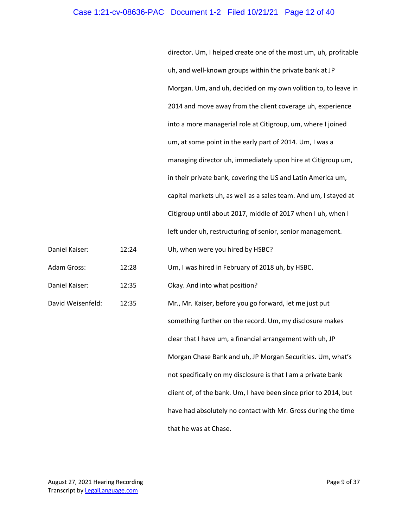#### Case 1:21-cv-08636-PAC Document 1-2 Filed 10/21/21 Page 12 of 40

director. Um, I helped create one of the most um, uh, profitable uh, and well-known groups within the private bank at JP Morgan. Um, and uh, decided on my own volition to, to leave in 2014 and move away from the client coverage uh, experience into a more managerial role at Citigroup, um, where I joined um, at some point in the early part of 2014. Um, I was a managing director uh, immediately upon hire at Citigroup um, in their private bank, covering the US and Latin America um, capital markets uh, as well as a sales team. And um, I stayed at Citigroup until about 2017, middle of 2017 when I uh, when I left under uh, restructuring of senior, senior management.

Daniel Kaiser: 12:24 Uh, when were you hired by HSBC?

Adam Gross: 12:28 Um, I was hired in February of 2018 uh, by HSBC.

Daniel Kaiser: 12:35 Okay. And into what position?

David Weisenfeld: 12:35 Mr., Mr. Kaiser, before you go forward, let me just put something further on the record. Um, my disclosure makes clear that I have um, a financial arrangement with uh, JP Morgan Chase Bank and uh, JP Morgan Securities. Um, what's not specifically on my disclosure is that I am a private bank client of, of the bank. Um, I have been since prior to 2014, but have had absolutely no contact with Mr. Gross during the time that he was at Chase.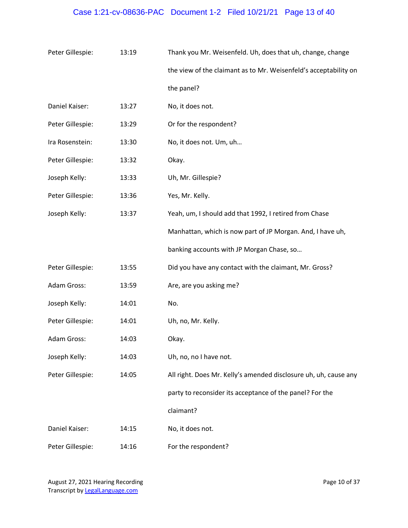# Case 1:21-cv-08636-PAC Document 1-2 Filed 10/21/21 Page 13 of 40

| Peter Gillespie: | 13:19 | Thank you Mr. Weisenfeld. Uh, does that uh, change, change       |
|------------------|-------|------------------------------------------------------------------|
|                  |       | the view of the claimant as to Mr. Weisenfeld's acceptability on |
|                  |       | the panel?                                                       |
| Daniel Kaiser:   | 13:27 | No, it does not.                                                 |
| Peter Gillespie: | 13:29 | Or for the respondent?                                           |
| Ira Rosenstein:  | 13:30 | No, it does not. Um, uh                                          |
| Peter Gillespie: | 13:32 | Okay.                                                            |
| Joseph Kelly:    | 13:33 | Uh, Mr. Gillespie?                                               |
| Peter Gillespie: | 13:36 | Yes, Mr. Kelly.                                                  |
| Joseph Kelly:    | 13:37 | Yeah, um, I should add that 1992, I retired from Chase           |
|                  |       | Manhattan, which is now part of JP Morgan. And, I have uh,       |
|                  |       | banking accounts with JP Morgan Chase, so                        |
| Peter Gillespie: | 13:55 | Did you have any contact with the claimant, Mr. Gross?           |
| Adam Gross:      | 13:59 | Are, are you asking me?                                          |
| Joseph Kelly:    | 14:01 | No.                                                              |
| Peter Gillespie: | 14:01 | Uh, no, Mr. Kelly.                                               |
| Adam Gross:      | 14:03 | Okay.                                                            |
| Joseph Kelly:    | 14:03 | Uh, no, no I have not.                                           |
| Peter Gillespie: | 14:05 | All right. Does Mr. Kelly's amended disclosure uh, uh, cause any |
|                  |       | party to reconsider its acceptance of the panel? For the         |
|                  |       | claimant?                                                        |
| Daniel Kaiser:   | 14:15 | No, it does not.                                                 |
| Peter Gillespie: | 14:16 | For the respondent?                                              |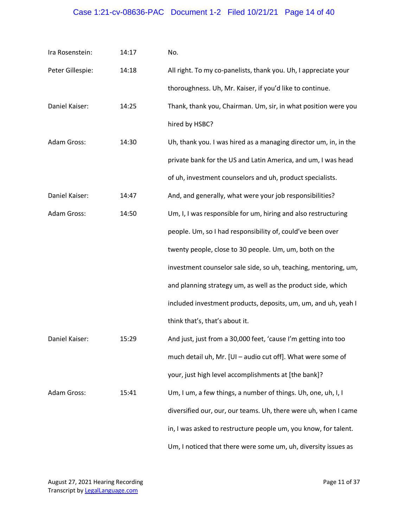# Case 1:21-cv-08636-PAC Document 1-2 Filed 10/21/21 Page 14 of 40

| Ira Rosenstein:  | 14:17 | No.                                                              |
|------------------|-------|------------------------------------------------------------------|
| Peter Gillespie: | 14:18 | All right. To my co-panelists, thank you. Uh, I appreciate your  |
|                  |       | thoroughness. Uh, Mr. Kaiser, if you'd like to continue.         |
| Daniel Kaiser:   | 14:25 | Thank, thank you, Chairman. Um, sir, in what position were you   |
|                  |       | hired by HSBC?                                                   |
| Adam Gross:      | 14:30 | Uh, thank you. I was hired as a managing director um, in, in the |
|                  |       | private bank for the US and Latin America, and um, I was head    |
|                  |       | of uh, investment counselors and uh, product specialists.        |
| Daniel Kaiser:   | 14:47 | And, and generally, what were your job responsibilities?         |
| Adam Gross:      | 14:50 | Um, I, I was responsible for um, hiring and also restructuring   |
|                  |       | people. Um, so I had responsibility of, could've been over       |
|                  |       | twenty people, close to 30 people. Um, um, both on the           |
|                  |       | investment counselor sale side, so uh, teaching, mentoring, um,  |
|                  |       | and planning strategy um, as well as the product side, which     |
|                  |       | included investment products, deposits, um, um, and uh, yeah I   |
|                  |       | think that's, that's about it.                                   |
| Daniel Kaiser:   | 15:29 | And just, just from a 30,000 feet, 'cause I'm getting into too   |
|                  |       | much detail uh, Mr. [UI - audio cut off]. What were some of      |
|                  |       | your, just high level accomplishments at [the bank]?             |
| Adam Gross:      | 15:41 | Um, I um, a few things, a number of things. Uh, one, uh, I, I    |
|                  |       | diversified our, our, our teams. Uh, there were uh, when I came  |
|                  |       | in, I was asked to restructure people um, you know, for talent.  |
|                  |       | Um, I noticed that there were some um, uh, diversity issues as   |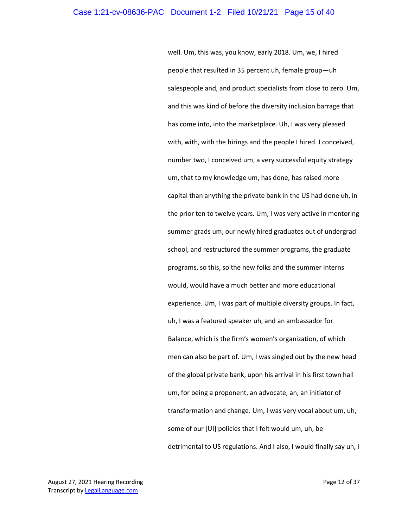well. Um, this was, you know, early 2018. Um, we, I hired people that resulted in 35 percent uh, female group—uh salespeople and, and product specialists from close to zero. Um, and this was kind of before the diversity inclusion barrage that has come into, into the marketplace. Uh, I was very pleased with, with, with the hirings and the people I hired. I conceived, number two, I conceived um, a very successful equity strategy um, that to my knowledge um, has done, has raised more capital than anything the private bank in the US had done uh, in the prior ten to twelve years. Um, I was very active in mentoring summer grads um, our newly hired graduates out of undergrad school, and restructured the summer programs, the graduate programs, so this, so the new folks and the summer interns would, would have a much better and more educational experience. Um, I was part of multiple diversity groups. In fact, uh, I was a featured speaker uh, and an ambassador for Balance, which is the firm's women's organization, of which men can also be part of. Um, I was singled out by the new head of the global private bank, upon his arrival in his first town hall um, for being a proponent, an advocate, an, an initiator of transformation and change. Um, I was very vocal about um, uh, some of our [UI] policies that I felt would um, uh, be detrimental to US regulations. And I also, I would finally say uh, I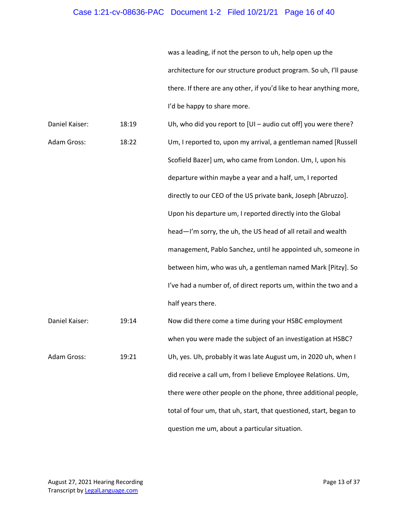## Case 1:21-cv-08636-PAC Document 1-2 Filed 10/21/21 Page 16 of 40

was a leading, if not the person to uh, help open up the architecture for our structure product program. So uh, I'll pause there. If there are any other, if you'd like to hear anything more, I'd be happy to share more.

| Daniel Kaiser: | 18:19 | Uh, who did you report to $[U]$ – audio cut off] you were there?   |
|----------------|-------|--------------------------------------------------------------------|
| Adam Gross:    | 18:22 | Um, I reported to, upon my arrival, a gentleman named [Russell     |
|                |       | Scofield Bazer] um, who came from London. Um, I, upon his          |
|                |       | departure within maybe a year and a half, um, I reported           |
|                |       | directly to our CEO of the US private bank, Joseph [Abruzzo].      |
|                |       | Upon his departure um, I reported directly into the Global         |
|                |       | head-I'm sorry, the uh, the US head of all retail and wealth       |
|                |       | management, Pablo Sanchez, until he appointed uh, someone in       |
|                |       | between him, who was uh, a gentleman named Mark [Pitzy]. So        |
|                |       | I've had a number of, of direct reports um, within the two and a   |
|                |       | half years there.                                                  |
| Daniel Kaiser: | 19:14 | Now did there come a time during your HSBC employment              |
|                |       | when you were made the subject of an investigation at HSBC?        |
| Adam Gross:    | 19:21 | Uh, yes. Uh, probably it was late August um, in 2020 uh, when I    |
|                |       | did receive a call um, from I believe Employee Relations. Um,      |
|                |       | there were other people on the phone, three additional people,     |
|                |       | total of four um, that uh, start, that questioned, start, began to |

question me um, about a particular situation.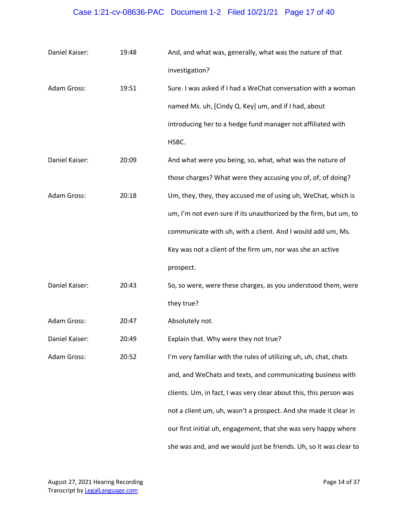# Case 1:21-cv-08636-PAC Document 1-2 Filed 10/21/21 Page 17 of 40

| Daniel Kaiser: | 19:48 | And, and what was, generally, what was the nature of that          |
|----------------|-------|--------------------------------------------------------------------|
|                |       | investigation?                                                     |
| Adam Gross:    | 19:51 | Sure. I was asked if I had a WeChat conversation with a woman      |
|                |       | named Ms. uh, [Cindy Q. Key] um, and if I had, about               |
|                |       | introducing her to a hedge fund manager not affiliated with        |
|                |       | HSBC.                                                              |
| Daniel Kaiser: | 20:09 | And what were you being, so, what, what was the nature of          |
|                |       | those charges? What were they accusing you of, of, of doing?       |
| Adam Gross:    | 20:18 | Um, they, they, they accused me of using uh, WeChat, which is      |
|                |       | um, I'm not even sure if its unauthorized by the firm, but um, to  |
|                |       | communicate with uh, with a client. And I would add um, Ms.        |
|                |       | Key was not a client of the firm um, nor was she an active         |
|                |       | prospect.                                                          |
| Daniel Kaiser: | 20:43 | So, so were, were these charges, as you understood them, were      |
|                |       | they true?                                                         |
| Adam Gross:    | 20:47 | Absolutely not.                                                    |
| Daniel Kaiser: | 20:49 | Explain that. Why were they not true?                              |
| Adam Gross:    | 20:52 | I'm very familiar with the rules of utilizing uh, uh, chat, chats  |
|                |       | and, and WeChats and texts, and communicating business with        |
|                |       | clients. Um, in fact, I was very clear about this, this person was |
|                |       | not a client um, uh, wasn't a prospect. And she made it clear in   |
|                |       | our first initial uh, engagement, that she was very happy where    |
|                |       | she was and, and we would just be friends. Uh, so it was clear to  |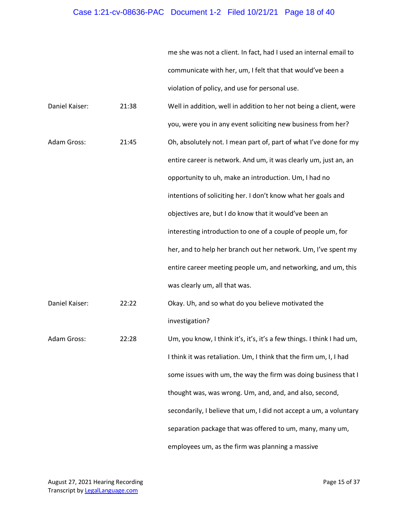## Case 1:21-cv-08636-PAC Document 1-2 Filed 10/21/21 Page 18 of 40

me she was not a client. In fact, had I used an internal email to communicate with her, um, I felt that that would've been a violation of policy, and use for personal use.

| Daniel Kaiser: | 21:38 | Well in addition, well in addition to her not being a client, were     |
|----------------|-------|------------------------------------------------------------------------|
|                |       | you, were you in any event soliciting new business from her?           |
| Adam Gross:    | 21:45 | Oh, absolutely not. I mean part of, part of what I've done for my      |
|                |       | entire career is network. And um, it was clearly um, just an, an       |
|                |       | opportunity to uh, make an introduction. Um, I had no                  |
|                |       | intentions of soliciting her. I don't know what her goals and          |
|                |       | objectives are, but I do know that it would've been an                 |
|                |       | interesting introduction to one of a couple of people um, for          |
|                |       | her, and to help her branch out her network. Um, I've spent my         |
|                |       | entire career meeting people um, and networking, and um, this          |
|                |       | was clearly um, all that was.                                          |
| Daniel Kaiser: | 22:22 | Okay. Uh, and so what do you believe motivated the                     |
|                |       | investigation?                                                         |
| Adam Gross:    | 22:28 | Um, you know, I think it's, it's, it's a few things. I think I had um, |
|                |       | I think it was retaliation. Um, I think that the firm um, I, I had     |
|                |       | some issues with um, the way the firm was doing business that I        |
|                |       | thought was, was wrong. Um, and, and, and also, second,                |
|                |       | secondarily, I believe that um, I did not accept a um, a voluntary     |
|                |       | separation package that was offered to um, many, many um,              |
|                |       | employees um, as the firm was planning a massive                       |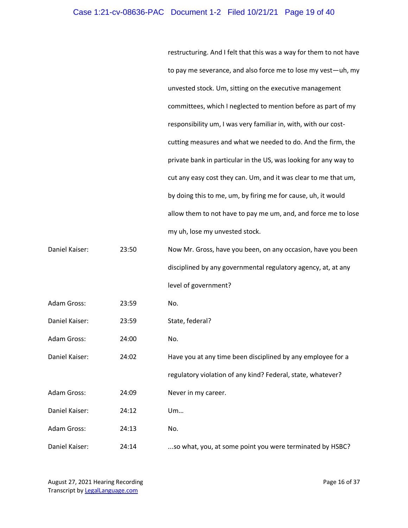#### Case 1:21-cv-08636-PAC Document 1-2 Filed 10/21/21 Page 19 of 40

restructuring. And I felt that this was a way for them to not have to pay me severance, and also force me to lose my vest—uh, my unvested stock. Um, sitting on the executive management committees, which I neglected to mention before as part of my responsibility um, I was very familiar in, with, with our costcutting measures and what we needed to do. And the firm, the private bank in particular in the US, was looking for any way to cut any easy cost they can. Um, and it was clear to me that um, by doing this to me, um, by firing me for cause, uh, it would allow them to not have to pay me um, and, and force me to lose my uh, lose my unvested stock.

Daniel Kaiser: 23:50 Now Mr. Gross, have you been, on any occasion, have you been disciplined by any governmental regulatory agency, at, at any level of government?

Adam Gross: 23:59 No.

Daniel Kaiser: 23:59 State, federal?

Adam Gross: 24:00 No.

Daniel Kaiser: 24:02 Have you at any time been disciplined by any employee for a regulatory violation of any kind? Federal, state, whatever? Adam Gross: 24:09 Never in my career. Daniel Kaiser: 24:12 Um… Adam Gross: 24:13 No. Daniel Kaiser: 24:14 ...so what, you, at some point you were terminated by HSBC?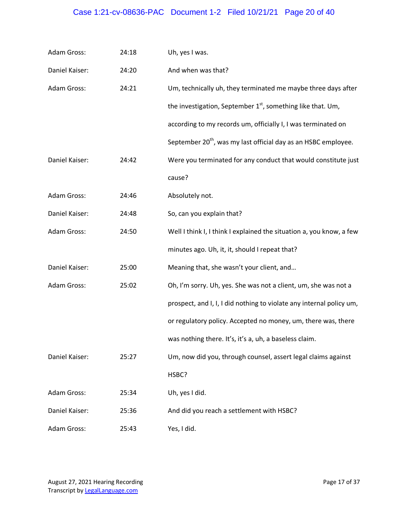## Case 1:21-cv-08636-PAC Document 1-2 Filed 10/21/21 Page 20 of 40

| Adam Gross:        | 24:18 | Uh, yes I was.                                                             |
|--------------------|-------|----------------------------------------------------------------------------|
| Daniel Kaiser:     | 24:20 | And when was that?                                                         |
| <b>Adam Gross:</b> | 24:21 | Um, technically uh, they terminated me maybe three days after              |
|                    |       | the investigation, September $1st$ , something like that. Um,              |
|                    |       | according to my records um, officially I, I was terminated on              |
|                    |       | September 20 <sup>th</sup> , was my last official day as an HSBC employee. |
| Daniel Kaiser:     | 24:42 | Were you terminated for any conduct that would constitute just             |
|                    |       | cause?                                                                     |
| Adam Gross:        | 24:46 | Absolutely not.                                                            |
| Daniel Kaiser:     | 24:48 | So, can you explain that?                                                  |
| Adam Gross:        | 24:50 | Well I think I, I think I explained the situation a, you know, a few       |
|                    |       | minutes ago. Uh, it, it, should I repeat that?                             |
| Daniel Kaiser:     | 25:00 | Meaning that, she wasn't your client, and                                  |
| <b>Adam Gross:</b> | 25:02 | Oh, I'm sorry. Uh, yes. She was not a client, um, she was not a            |
|                    |       | prospect, and I, I, I did nothing to violate any internal policy um,       |
|                    |       | or regulatory policy. Accepted no money, um, there was, there              |
|                    |       | was nothing there. It's, it's a, uh, a baseless claim.                     |
| Daniel Kaiser:     | 25:27 | Um, now did you, through counsel, assert legal claims against              |
|                    |       | HSBC?                                                                      |
| Adam Gross:        | 25:34 | Uh, yes I did.                                                             |
| Daniel Kaiser:     | 25:36 | And did you reach a settlement with HSBC?                                  |
| Adam Gross:        | 25:43 | Yes, I did.                                                                |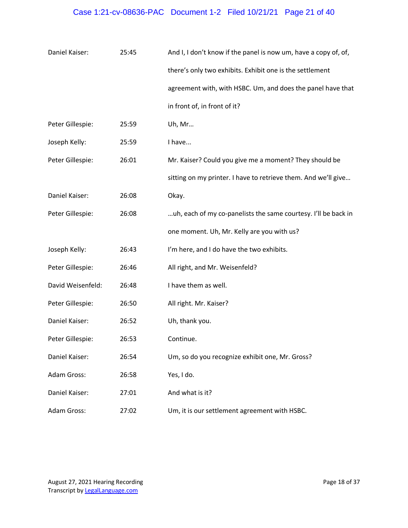## Case 1:21-cv-08636-PAC Document 1-2 Filed 10/21/21 Page 21 of 40

| Daniel Kaiser:    | 25:45 | And I, I don't know if the panel is now um, have a copy of, of, |
|-------------------|-------|-----------------------------------------------------------------|
|                   |       | there's only two exhibits. Exhibit one is the settlement        |
|                   |       | agreement with, with HSBC. Um, and does the panel have that     |
|                   |       | in front of, in front of it?                                    |
| Peter Gillespie:  | 25:59 | Uh, Mr                                                          |
| Joseph Kelly:     | 25:59 | I have                                                          |
| Peter Gillespie:  | 26:01 | Mr. Kaiser? Could you give me a moment? They should be          |
|                   |       | sitting on my printer. I have to retrieve them. And we'll give  |
| Daniel Kaiser:    | 26:08 | Okay.                                                           |
| Peter Gillespie:  | 26:08 | uh, each of my co-panelists the same courtesy. I'll be back in  |
|                   |       | one moment. Uh, Mr. Kelly are you with us?                      |
| Joseph Kelly:     | 26:43 | I'm here, and I do have the two exhibits.                       |
| Peter Gillespie:  | 26:46 | All right, and Mr. Weisenfeld?                                  |
| David Weisenfeld: | 26:48 | I have them as well.                                            |
| Peter Gillespie:  | 26:50 | All right. Mr. Kaiser?                                          |
| Daniel Kaiser:    | 26:52 | Uh, thank you.                                                  |
| Peter Gillespie:  | 26:53 | Continue.                                                       |
| Daniel Kaiser:    | 26:54 | Um, so do you recognize exhibit one, Mr. Gross?                 |
| Adam Gross:       | 26:58 | Yes, I do.                                                      |
| Daniel Kaiser:    | 27:01 | And what is it?                                                 |
| Adam Gross:       | 27:02 | Um, it is our settlement agreement with HSBC.                   |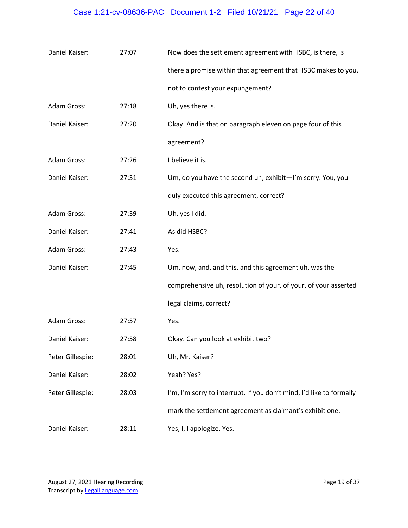# Case 1:21-cv-08636-PAC Document 1-2 Filed 10/21/21 Page 22 of 40

| Daniel Kaiser:   | 27:07 | Now does the settlement agreement with HSBC, is there, is            |
|------------------|-------|----------------------------------------------------------------------|
|                  |       | there a promise within that agreement that HSBC makes to you,        |
|                  |       | not to contest your expungement?                                     |
| Adam Gross:      | 27:18 | Uh, yes there is.                                                    |
| Daniel Kaiser:   | 27:20 | Okay. And is that on paragraph eleven on page four of this           |
|                  |       | agreement?                                                           |
| Adam Gross:      | 27:26 | I believe it is.                                                     |
| Daniel Kaiser:   | 27:31 | Um, do you have the second uh, exhibit-I'm sorry. You, you           |
|                  |       | duly executed this agreement, correct?                               |
| Adam Gross:      | 27:39 | Uh, yes I did.                                                       |
| Daniel Kaiser:   | 27:41 | As did HSBC?                                                         |
| Adam Gross:      | 27:43 | Yes.                                                                 |
| Daniel Kaiser:   | 27:45 | Um, now, and, and this, and this agreement uh, was the               |
|                  |       | comprehensive uh, resolution of your, of your, of your asserted      |
|                  |       | legal claims, correct?                                               |
| Adam Gross:      | 27:57 | Yes.                                                                 |
| Daniel Kaiser:   | 27:58 | Okay. Can you look at exhibit two?                                   |
| Peter Gillespie: | 28:01 | Uh, Mr. Kaiser?                                                      |
| Daniel Kaiser:   | 28:02 | Yeah? Yes?                                                           |
| Peter Gillespie: | 28:03 | I'm, I'm sorry to interrupt. If you don't mind, I'd like to formally |
|                  |       | mark the settlement agreement as claimant's exhibit one.             |
| Daniel Kaiser:   | 28:11 | Yes, I, I apologize. Yes.                                            |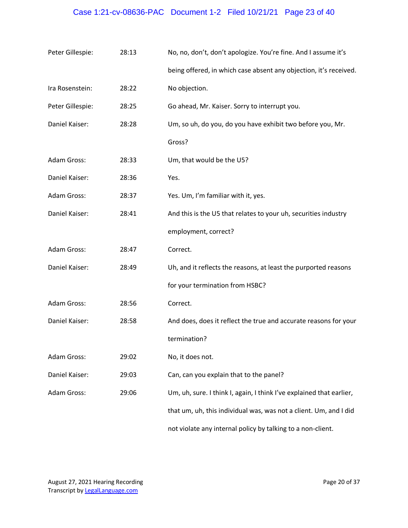# Case 1:21-cv-08636-PAC Document 1-2 Filed 10/21/21 Page 23 of 40

| Peter Gillespie:   | 28:13 | No, no, don't, don't apologize. You're fine. And I assume it's       |
|--------------------|-------|----------------------------------------------------------------------|
|                    |       | being offered, in which case absent any objection, it's received.    |
| Ira Rosenstein:    | 28:22 | No objection.                                                        |
| Peter Gillespie:   | 28:25 | Go ahead, Mr. Kaiser. Sorry to interrupt you.                        |
| Daniel Kaiser:     | 28:28 | Um, so uh, do you, do you have exhibit two before you, Mr.           |
|                    |       | Gross?                                                               |
| Adam Gross:        | 28:33 | Um, that would be the U5?                                            |
| Daniel Kaiser:     | 28:36 | Yes.                                                                 |
| Adam Gross:        | 28:37 | Yes. Um, I'm familiar with it, yes.                                  |
| Daniel Kaiser:     | 28:41 | And this is the U5 that relates to your uh, securities industry      |
|                    |       | employment, correct?                                                 |
| Adam Gross:        | 28:47 | Correct.                                                             |
| Daniel Kaiser:     | 28:49 | Uh, and it reflects the reasons, at least the purported reasons      |
|                    |       | for your termination from HSBC?                                      |
| <b>Adam Gross:</b> | 28:56 | Correct.                                                             |
| Daniel Kaiser:     | 28:58 | And does, does it reflect the true and accurate reasons for your     |
|                    |       | termination?                                                         |
| Adam Gross:        | 29:02 | No, it does not.                                                     |
| Daniel Kaiser:     | 29:03 | Can, can you explain that to the panel?                              |
| Adam Gross:        | 29:06 | Um, uh, sure. I think I, again, I think I've explained that earlier, |
|                    |       | that um, uh, this individual was, was not a client. Um, and I did    |
|                    |       | not violate any internal policy by talking to a non-client.          |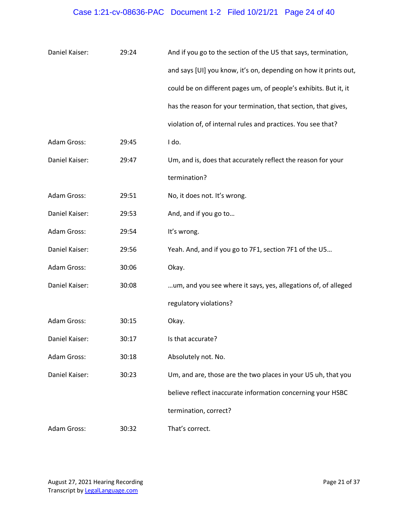# Case 1:21-cv-08636-PAC Document 1-2 Filed 10/21/21 Page 24 of 40

| Daniel Kaiser: | 29:24 | And if you go to the section of the U5 that says, termination,   |
|----------------|-------|------------------------------------------------------------------|
|                |       | and says [UI] you know, it's on, depending on how it prints out, |
|                |       | could be on different pages um, of people's exhibits. But it, it |
|                |       | has the reason for your termination, that section, that gives,   |
|                |       | violation of, of internal rules and practices. You see that?     |
| Adam Gross:    | 29:45 | I do.                                                            |
| Daniel Kaiser: | 29:47 | Um, and is, does that accurately reflect the reason for your     |
|                |       | termination?                                                     |
| Adam Gross:    | 29:51 | No, it does not. It's wrong.                                     |
| Daniel Kaiser: | 29:53 | And, and if you go to                                            |
| Adam Gross:    | 29:54 | It's wrong.                                                      |
| Daniel Kaiser: | 29:56 | Yeah. And, and if you go to 7F1, section 7F1 of the U5           |
| Adam Gross:    | 30:06 | Okay.                                                            |
| Daniel Kaiser: | 30:08 | um, and you see where it says, yes, allegations of, of alleged   |
|                |       | regulatory violations?                                           |
| Adam Gross:    | 30:15 | Okay.                                                            |
| Daniel Kaiser: | 30:17 | Is that accurate?                                                |
| Adam Gross:    | 30:18 | Absolutely not. No.                                              |
| Daniel Kaiser: | 30:23 | Um, and are, those are the two places in your U5 uh, that you    |
|                |       | believe reflect inaccurate information concerning your HSBC      |
|                |       | termination, correct?                                            |
| Adam Gross:    | 30:32 | That's correct.                                                  |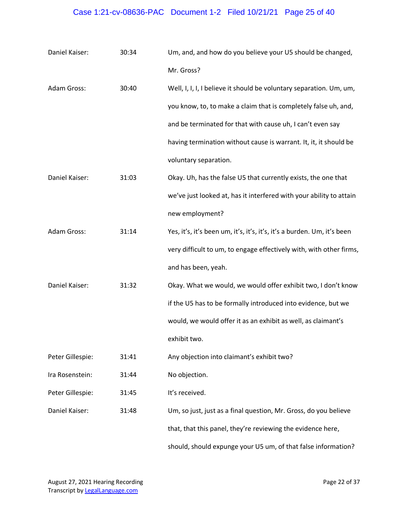## Case 1:21-cv-08636-PAC Document 1-2 Filed 10/21/21 Page 25 of 40

| Daniel Kaiser:   | 30:34 | Um, and, and how do you believe your U5 should be changed,              |
|------------------|-------|-------------------------------------------------------------------------|
|                  |       | Mr. Gross?                                                              |
| Adam Gross:      | 30:40 | Well, I, I, I, I believe it should be voluntary separation. Um, um,     |
|                  |       | you know, to, to make a claim that is completely false uh, and,         |
|                  |       | and be terminated for that with cause uh, I can't even say              |
|                  |       | having termination without cause is warrant. It, it, it should be       |
|                  |       | voluntary separation.                                                   |
| Daniel Kaiser:   | 31:03 | Okay. Uh, has the false U5 that currently exists, the one that          |
|                  |       | we've just looked at, has it interfered with your ability to attain     |
|                  |       | new employment?                                                         |
| Adam Gross:      | 31:14 | Yes, it's, it's been um, it's, it's, it's, it's a burden. Um, it's been |
|                  |       | very difficult to um, to engage effectively with, with other firms,     |
|                  |       | and has been, yeah.                                                     |
| Daniel Kaiser:   | 31:32 | Okay. What we would, we would offer exhibit two, I don't know           |
|                  |       | if the U5 has to be formally introduced into evidence, but we           |
|                  |       | would, we would offer it as an exhibit as well, as claimant's           |
|                  |       | exhibit two.                                                            |
| Peter Gillespie: | 31:41 | Any objection into claimant's exhibit two?                              |
| Ira Rosenstein:  | 31:44 | No objection.                                                           |
| Peter Gillespie: | 31:45 | It's received.                                                          |
| Daniel Kaiser:   | 31:48 | Um, so just, just as a final question, Mr. Gross, do you believe        |
|                  |       | that, that this panel, they're reviewing the evidence here,             |
|                  |       | should, should expunge your U5 um, of that false information?           |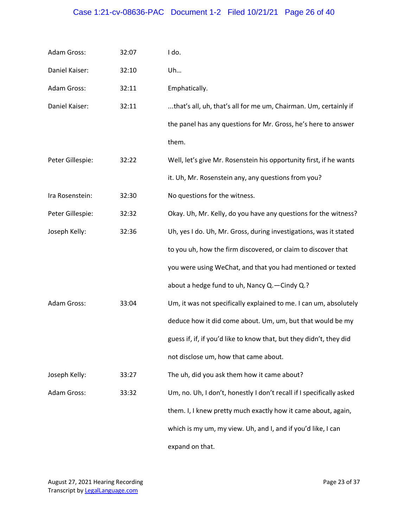# Case 1:21-cv-08636-PAC Document 1-2 Filed 10/21/21 Page 26 of 40

| Adam Gross:      | 32:07 | I do.                                                                |
|------------------|-------|----------------------------------------------------------------------|
| Daniel Kaiser:   | 32:10 | Uh                                                                   |
| Adam Gross:      | 32:11 | Emphatically.                                                        |
| Daniel Kaiser:   | 32:11 | that's all, uh, that's all for me um, Chairman. Um, certainly if     |
|                  |       | the panel has any questions for Mr. Gross, he's here to answer       |
|                  |       | them.                                                                |
| Peter Gillespie: | 32:22 | Well, let's give Mr. Rosenstein his opportunity first, if he wants   |
|                  |       | it. Uh, Mr. Rosenstein any, any questions from you?                  |
| Ira Rosenstein:  | 32:30 | No questions for the witness.                                        |
| Peter Gillespie: | 32:32 | Okay. Uh, Mr. Kelly, do you have any questions for the witness?      |
| Joseph Kelly:    | 32:36 | Uh, yes I do. Uh, Mr. Gross, during investigations, was it stated    |
|                  |       | to you uh, how the firm discovered, or claim to discover that        |
|                  |       | you were using WeChat, and that you had mentioned or texted          |
|                  |       | about a hedge fund to uh, Nancy Q. - Cindy Q.?                       |
| Adam Gross:      | 33:04 | Um, it was not specifically explained to me. I can um, absolutely    |
|                  |       | deduce how it did come about. Um, um, but that would be my           |
|                  |       | guess if, if, if you'd like to know that, but they didn't, they did  |
|                  |       | not disclose um, how that came about.                                |
| Joseph Kelly:    | 33:27 | The uh, did you ask them how it came about?                          |
| Adam Gross:      | 33:32 | Um, no. Uh, I don't, honestly I don't recall if I specifically asked |
|                  |       | them. I, I knew pretty much exactly how it came about, again,        |
|                  |       | which is my um, my view. Uh, and I, and if you'd like, I can         |
|                  |       | expand on that.                                                      |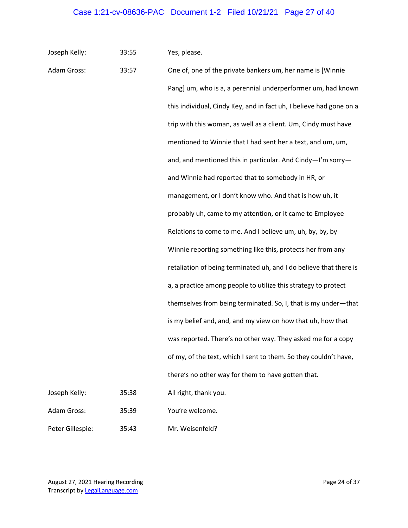Joseph Kelly: 33:55 Yes, please.

| Adam Gross:      | 33:57 | One of, one of the private bankers um, her name is [Winnie          |
|------------------|-------|---------------------------------------------------------------------|
|                  |       | Pang] um, who is a, a perennial underperformer um, had known        |
|                  |       | this individual, Cindy Key, and in fact uh, I believe had gone on a |
|                  |       | trip with this woman, as well as a client. Um, Cindy must have      |
|                  |       | mentioned to Winnie that I had sent her a text, and um, um,         |
|                  |       | and, and mentioned this in particular. And Cindy-I'm sorry-         |
|                  |       | and Winnie had reported that to somebody in HR, or                  |
|                  |       | management, or I don't know who. And that is how uh, it             |
|                  |       | probably uh, came to my attention, or it came to Employee           |
|                  |       | Relations to come to me. And I believe um, uh, by, by, by           |
|                  |       | Winnie reporting something like this, protects her from any         |
|                  |       | retaliation of being terminated uh, and I do believe that there is  |
|                  |       | a, a practice among people to utilize this strategy to protect      |
|                  |       | themselves from being terminated. So, I, that is my under-that      |
|                  |       | is my belief and, and, and my view on how that uh, how that         |
|                  |       | was reported. There's no other way. They asked me for a copy        |
|                  |       | of my, of the text, which I sent to them. So they couldn't have,    |
|                  |       | there's no other way for them to have gotten that.                  |
| Joseph Kelly:    | 35:38 | All right, thank you.                                               |
| Adam Gross:      | 35:39 | You're welcome.                                                     |
| Peter Gillespie: | 35:43 | Mr. Weisenfeld?                                                     |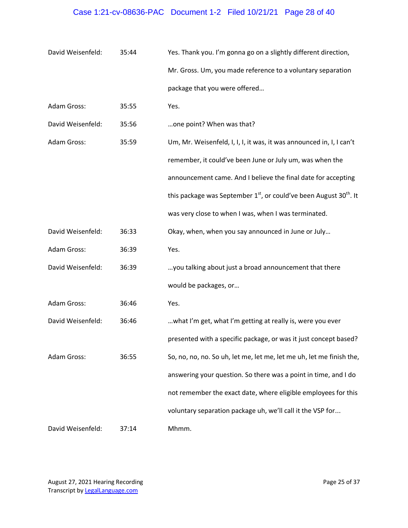# Case 1:21-cv-08636-PAC Document 1-2 Filed 10/21/21 Page 28 of 40

| David Weisenfeld: | 35:44 | Yes. Thank you. I'm gonna go on a slightly different direction,                  |
|-------------------|-------|----------------------------------------------------------------------------------|
|                   |       | Mr. Gross. Um, you made reference to a voluntary separation                      |
|                   |       | package that you were offered                                                    |
| Adam Gross:       | 35:55 | Yes.                                                                             |
| David Weisenfeld: | 35:56 | one point? When was that?                                                        |
| Adam Gross:       | 35:59 | Um, Mr. Weisenfeld, I, I, I, it was, it was announced in, I, I can't             |
|                   |       | remember, it could've been June or July um, was when the                         |
|                   |       | announcement came. And I believe the final date for accepting                    |
|                   |       | this package was September $1st$ , or could've been August 30 <sup>th</sup> . It |
|                   |       | was very close to when I was, when I was terminated.                             |
| David Weisenfeld: | 36:33 | Okay, when, when you say announced in June or July                               |
| Adam Gross:       | 36:39 | Yes.                                                                             |
| David Weisenfeld: | 36:39 | you talking about just a broad announcement that there                           |
|                   |       | would be packages, or                                                            |
| Adam Gross:       | 36:46 | Yes.                                                                             |
| David Weisenfeld: | 36:46 | what I'm get, what I'm getting at really is, were you ever                       |
|                   |       | presented with a specific package, or was it just concept based?                 |
| Adam Gross:       | 36:55 | So, no, no, no. So uh, let me, let me, let me uh, let me finish the,             |
|                   |       | answering your question. So there was a point in time, and I do                  |
|                   |       | not remember the exact date, where eligible employees for this                   |
|                   |       | voluntary separation package uh, we'll call it the VSP for                       |
| David Weisenfeld: | 37:14 | Mhmm.                                                                            |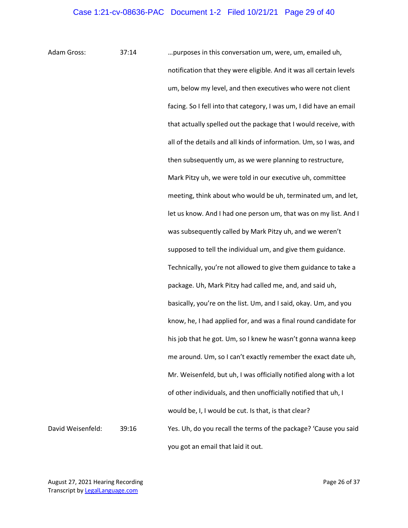Adam Gross: 37:14 …purposes in this conversation um, were, um, emailed uh, notification that they were eligible. And it was all certain levels um, below my level, and then executives who were not client facing. So I fell into that category, I was um, I did have an email that actually spelled out the package that I would receive, with all of the details and all kinds of information. Um, so I was, and then subsequently um, as we were planning to restructure, Mark Pitzy uh, we were told in our executive uh, committee meeting, think about who would be uh, terminated um, and let, let us know. And I had one person um, that was on my list. And I was subsequently called by Mark Pitzy uh, and we weren't supposed to tell the individual um, and give them guidance. Technically, you're not allowed to give them guidance to take a package. Uh, Mark Pitzy had called me, and, and said uh, basically, you're on the list. Um, and I said, okay. Um, and you know, he, I had applied for, and was a final round candidate for his job that he got. Um, so I knew he wasn't gonna wanna keep me around. Um, so I can't exactly remember the exact date uh, Mr. Weisenfeld, but uh, I was officially notified along with a lot of other individuals, and then unofficially notified that uh, I would be, I, I would be cut. Is that, is that clear? David Weisenfeld: 39:16 Yes. Uh, do you recall the terms of the package? 'Cause you said you got an email that laid it out.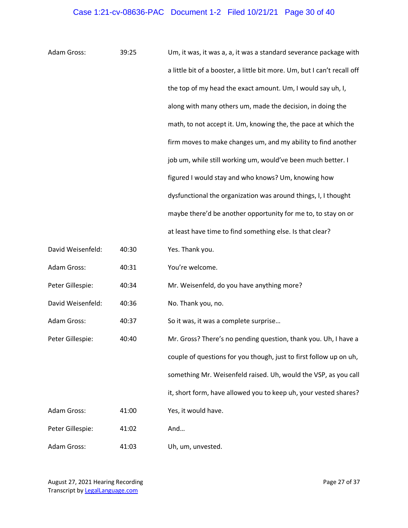# Case 1:21-cv-08636-PAC Document 1-2 Filed 10/21/21 Page 30 of 40

| Adam Gross:        | 39:25 | Um, it was, it was a, a, it was a standard severance package with        |
|--------------------|-------|--------------------------------------------------------------------------|
|                    |       | a little bit of a booster, a little bit more. Um, but I can't recall off |
|                    |       | the top of my head the exact amount. Um, I would say uh, I,              |
|                    |       | along with many others um, made the decision, in doing the               |
|                    |       | math, to not accept it. Um, knowing the, the pace at which the           |
|                    |       | firm moves to make changes um, and my ability to find another            |
|                    |       | job um, while still working um, would've been much better. I             |
|                    |       | figured I would stay and who knows? Um, knowing how                      |
|                    |       | dysfunctional the organization was around things, I, I thought           |
|                    |       | maybe there'd be another opportunity for me to, to stay on or            |
|                    |       | at least have time to find something else. Is that clear?                |
| David Weisenfeld:  | 40:30 | Yes. Thank you.                                                          |
| Adam Gross:        | 40:31 | You're welcome.                                                          |
| Peter Gillespie:   | 40:34 | Mr. Weisenfeld, do you have anything more?                               |
| David Weisenfeld:  | 40:36 | No. Thank you, no.                                                       |
| Adam Gross:        | 40:37 | So it was, it was a complete surprise                                    |
| Peter Gillespie:   | 40:40 | Mr. Gross? There's no pending question, thank you. Uh, I have a          |
|                    |       | couple of questions for you though, just to first follow up on uh,       |
|                    |       | something Mr. Weisenfeld raised. Uh, would the VSP, as you call          |
|                    |       | it, short form, have allowed you to keep uh, your vested shares?         |
| <b>Adam Gross:</b> | 41:00 | Yes, it would have.                                                      |
| Peter Gillespie:   | 41:02 | And                                                                      |
| Adam Gross:        | 41:03 | Uh, um, unvested.                                                        |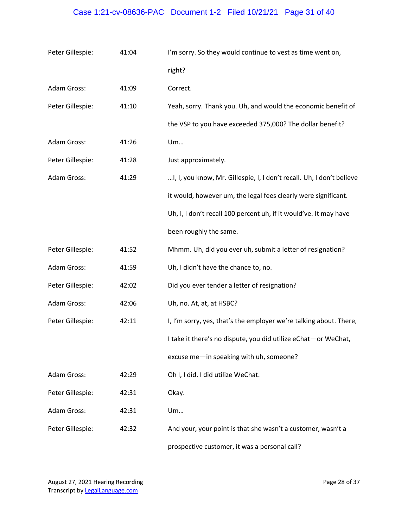## Case 1:21-cv-08636-PAC Document 1-2 Filed 10/21/21 Page 31 of 40

| Peter Gillespie: | 41:04 | I'm sorry. So they would continue to vest as time went on,            |
|------------------|-------|-----------------------------------------------------------------------|
|                  |       | right?                                                                |
| Adam Gross:      | 41:09 | Correct.                                                              |
| Peter Gillespie: | 41:10 | Yeah, sorry. Thank you. Uh, and would the economic benefit of         |
|                  |       | the VSP to you have exceeded 375,000? The dollar benefit?             |
| Adam Gross:      | 41:26 | Um                                                                    |
| Peter Gillespie: | 41:28 | Just approximately.                                                   |
| Adam Gross:      | 41:29 | I, I, you know, Mr. Gillespie, I, I don't recall. Uh, I don't believe |
|                  |       | it would, however um, the legal fees clearly were significant.        |
|                  |       | Uh, I, I don't recall 100 percent uh, if it would've. It may have     |
|                  |       | been roughly the same.                                                |
| Peter Gillespie: | 41:52 | Mhmm. Uh, did you ever uh, submit a letter of resignation?            |
| Adam Gross:      | 41:59 | Uh, I didn't have the chance to, no.                                  |
| Peter Gillespie: | 42:02 | Did you ever tender a letter of resignation?                          |
| Adam Gross:      | 42:06 | Uh, no. At, at, at HSBC?                                              |
| Peter Gillespie: | 42:11 | I, I'm sorry, yes, that's the employer we're talking about. There,    |
|                  |       | I take it there's no dispute, you did utilize eChat-or WeChat,        |
|                  |       | excuse me-in speaking with uh, someone?                               |
| Adam Gross:      | 42:29 | Oh I, I did. I did utilize WeChat.                                    |
| Peter Gillespie: | 42:31 | Okay.                                                                 |
| Adam Gross:      | 42:31 | Um                                                                    |
| Peter Gillespie: | 42:32 | And your, your point is that she wasn't a customer, wasn't a          |
|                  |       | prospective customer, it was a personal call?                         |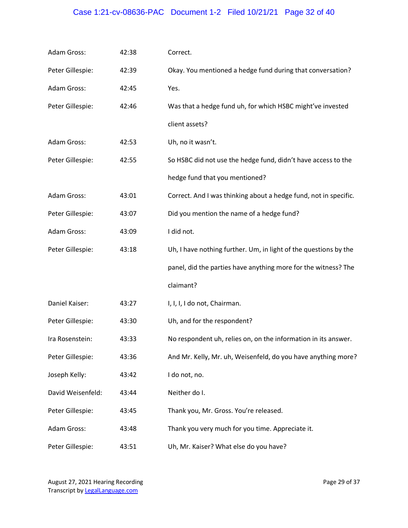# Case 1:21-cv-08636-PAC Document 1-2 Filed 10/21/21 Page 32 of 40

| Adam Gross:        | 42:38 | Correct.                                                         |
|--------------------|-------|------------------------------------------------------------------|
| Peter Gillespie:   | 42:39 | Okay. You mentioned a hedge fund during that conversation?       |
| <b>Adam Gross:</b> | 42:45 | Yes.                                                             |
| Peter Gillespie:   | 42:46 | Was that a hedge fund uh, for which HSBC might've invested       |
|                    |       | client assets?                                                   |
| <b>Adam Gross:</b> | 42:53 | Uh, no it wasn't.                                                |
| Peter Gillespie:   | 42:55 | So HSBC did not use the hedge fund, didn't have access to the    |
|                    |       | hedge fund that you mentioned?                                   |
| Adam Gross:        | 43:01 | Correct. And I was thinking about a hedge fund, not in specific. |
| Peter Gillespie:   | 43:07 | Did you mention the name of a hedge fund?                        |
| Adam Gross:        | 43:09 | I did not.                                                       |
| Peter Gillespie:   | 43:18 | Uh, I have nothing further. Um, in light of the questions by the |
|                    |       | panel, did the parties have anything more for the witness? The   |
|                    |       | claimant?                                                        |
| Daniel Kaiser:     | 43:27 | I, I, I, I do not, Chairman.                                     |
| Peter Gillespie:   | 43:30 | Uh, and for the respondent?                                      |
| Ira Rosenstein:    | 43:33 | No respondent uh, relies on, on the information in its answer.   |
| Peter Gillespie:   | 43:36 | And Mr. Kelly, Mr. uh, Weisenfeld, do you have anything more?    |
| Joseph Kelly:      | 43:42 | I do not, no.                                                    |
| David Weisenfeld:  | 43:44 | Neither do I.                                                    |
| Peter Gillespie:   | 43:45 | Thank you, Mr. Gross. You're released.                           |
| Adam Gross:        | 43:48 | Thank you very much for you time. Appreciate it.                 |
| Peter Gillespie:   | 43:51 | Uh, Mr. Kaiser? What else do you have?                           |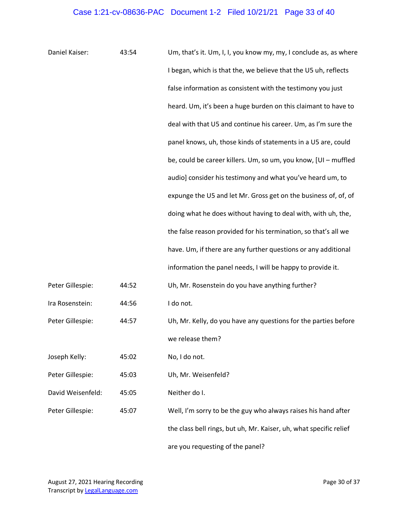| Daniel Kaiser:    | 43:54 | Um, that's it. Um, I, I, you know my, my, I conclude as, as where  |
|-------------------|-------|--------------------------------------------------------------------|
|                   |       | I began, which is that the, we believe that the U5 uh, reflects    |
|                   |       | false information as consistent with the testimony you just        |
|                   |       | heard. Um, it's been a huge burden on this claimant to have to     |
|                   |       | deal with that U5 and continue his career. Um, as I'm sure the     |
|                   |       | panel knows, uh, those kinds of statements in a U5 are, could      |
|                   |       | be, could be career killers. Um, so um, you know, [UI - muffled    |
|                   |       | audio] consider his testimony and what you've heard um, to         |
|                   |       | expunge the U5 and let Mr. Gross get on the business of, of, of    |
|                   |       | doing what he does without having to deal with, with uh, the,      |
|                   |       | the false reason provided for his termination, so that's all we    |
|                   |       | have. Um, if there are any further questions or any additional     |
|                   |       | information the panel needs, I will be happy to provide it.        |
| Peter Gillespie:  | 44:52 | Uh, Mr. Rosenstein do you have anything further?                   |
| Ira Rosenstein:   | 44:56 | I do not.                                                          |
| Peter Gillespie:  | 44:57 | Uh, Mr. Kelly, do you have any questions for the parties before    |
|                   |       | we release them?                                                   |
| Joseph Kelly:     | 45:02 | No, I do not.                                                      |
| Peter Gillespie:  | 45:03 | Uh, Mr. Weisenfeld?                                                |
| David Weisenfeld: | 45:05 | Neither do I.                                                      |
| Peter Gillespie:  | 45:07 | Well, I'm sorry to be the guy who always raises his hand after     |
|                   |       | the class bell rings, but uh, Mr. Kaiser, uh, what specific relief |
|                   |       | are you requesting of the panel?                                   |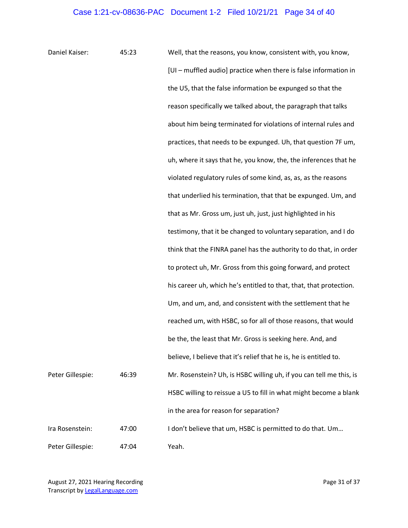Daniel Kaiser: 45:23 Well, that the reasons, you know, consistent with, you know, [UI – muffled audio] practice when there is false information in the U5, that the false information be expunged so that the reason specifically we talked about, the paragraph that talks about him being terminated for violations of internal rules and practices, that needs to be expunged. Uh, that question 7F um, uh, where it says that he, you know, the, the inferences that he violated regulatory rules of some kind, as, as, as the reasons that underlied his termination, that that be expunged. Um, and that as Mr. Gross um, just uh, just, just highlighted in his testimony, that it be changed to voluntary separation, and I do think that the FINRA panel has the authority to do that, in order to protect uh, Mr. Gross from this going forward, and protect his career uh, which he's entitled to that, that, that protection. Um, and um, and, and consistent with the settlement that he reached um, with HSBC, so for all of those reasons, that would be the, the least that Mr. Gross is seeking here. And, and believe, I believe that it's relief that he is, he is entitled to. Peter Gillespie: 46:39 Mr. Rosenstein? Uh, is HSBC willing uh, if you can tell me this, is HSBC willing to reissue a U5 to fill in what might become a blank in the area for reason for separation? Ira Rosenstein: 47:00 I don't believe that um, HSBC is permitted to do that. Um… Peter Gillespie: 47:04 Yeah.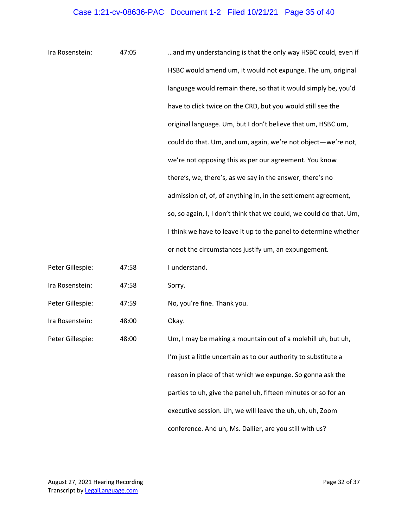| Ira Rosenstein:  | 47:05 | and my understanding is that the only way HSBC could, even if       |
|------------------|-------|---------------------------------------------------------------------|
|                  |       | HSBC would amend um, it would not expunge. The um, original         |
|                  |       | language would remain there, so that it would simply be, you'd      |
|                  |       | have to click twice on the CRD, but you would still see the         |
|                  |       | original language. Um, but I don't believe that um, HSBC um,        |
|                  |       | could do that. Um, and um, again, we're not object-we're not,       |
|                  |       | we're not opposing this as per our agreement. You know              |
|                  |       | there's, we, there's, as we say in the answer, there's no           |
|                  |       | admission of, of, of anything in, in the settlement agreement,      |
|                  |       | so, so again, I, I don't think that we could, we could do that. Um, |
|                  |       | I think we have to leave it up to the panel to determine whether    |
|                  |       | or not the circumstances justify um, an expungement.                |
| Peter Gillespie: | 47:58 | I understand.                                                       |
| Ira Rosenstein:  | 47:58 | Sorry.                                                              |
| Peter Gillespie: | 47:59 | No, you're fine. Thank you.                                         |
| Ira Rosenstein:  | 48:00 | Okay.                                                               |
| Peter Gillespie: | 48:00 | Um, I may be making a mountain out of a molehill uh, but uh,        |
|                  |       | I'm just a little uncertain as to our authority to substitute a     |
|                  |       | reason in place of that which we expunge. So gonna ask the          |
|                  |       | parties to uh, give the panel uh, fifteen minutes or so for an      |
|                  |       | executive session. Uh, we will leave the uh, uh, uh, Zoom           |
|                  |       | conference. And uh, Ms. Dallier, are you still with us?             |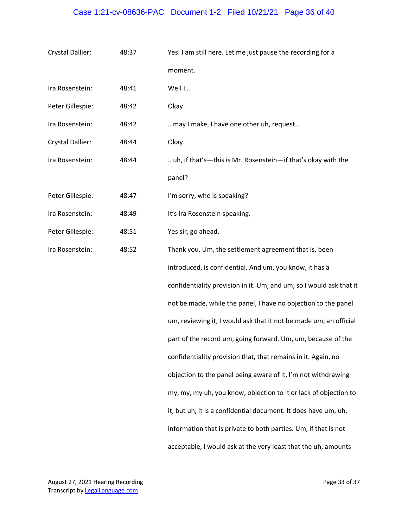# Case 1:21-cv-08636-PAC Document 1-2 Filed 10/21/21 Page 36 of 40

| Crystal Dallier: | 48:37 | Yes. I am still here. Let me just pause the recording for a         |  |
|------------------|-------|---------------------------------------------------------------------|--|
|                  |       | moment.                                                             |  |
| Ira Rosenstein:  | 48:41 | Well I                                                              |  |
| Peter Gillespie: | 48:42 | Okay.                                                               |  |
| Ira Rosenstein:  | 48:42 | may I make, I have one other uh, request                            |  |
| Crystal Dallier: | 48:44 | Okay.                                                               |  |
| Ira Rosenstein:  | 48:44 | uh, if that's—this is Mr. Rosenstein—if that's okay with the        |  |
|                  |       | panel?                                                              |  |
| Peter Gillespie: | 48:47 | I'm sorry, who is speaking?                                         |  |
| Ira Rosenstein:  | 48:49 | It's Ira Rosenstein speaking.                                       |  |
| Peter Gillespie: | 48:51 | Yes sir, go ahead.                                                  |  |
| Ira Rosenstein:  | 48:52 | Thank you. Um, the settlement agreement that is, been               |  |
|                  |       | introduced, is confidential. And um, you know, it has a             |  |
|                  |       | confidentiality provision in it. Um, and um, so I would ask that it |  |
|                  |       | not be made, while the panel, I have no objection to the panel      |  |
|                  |       | um, reviewing it, I would ask that it not be made um, an official   |  |
|                  |       | part of the record um, going forward. Um, um, because of the        |  |
|                  |       | confidentiality provision that, that remains in it. Again, no       |  |
|                  |       | objection to the panel being aware of it, I'm not withdrawing       |  |
|                  |       | my, my, my uh, you know, objection to it or lack of objection to    |  |
|                  |       | it, but uh, it is a confidential document. It does have um, uh,     |  |
|                  |       | information that is private to both parties. Um, if that is not     |  |
|                  |       | acceptable, I would ask at the very least that the uh, amounts      |  |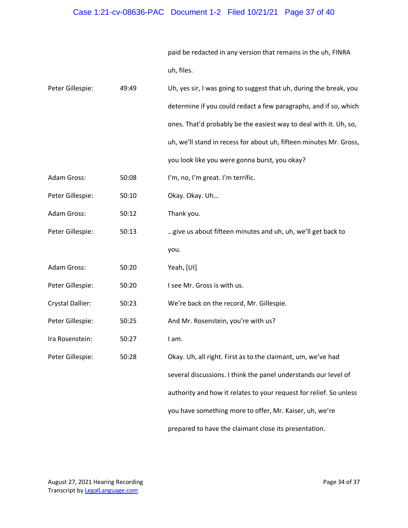paid be redacted in any version that remains in the uh, FINRA uh, files.

| Peter Gillespie:        | 49:49 | Uh, yes sir, I was going to suggest that uh, during the break, you |  |
|-------------------------|-------|--------------------------------------------------------------------|--|
|                         |       | determine if you could redact a few paragraphs, and if so, which   |  |
|                         |       | ones. That'd probably be the easiest way to deal with it. Uh, so,  |  |
|                         |       | uh, we'll stand in recess for about uh, fifteen minutes Mr. Gross, |  |
|                         |       | you look like you were gonna burst, you okay?                      |  |
| Adam Gross:             | 50:08 | I'm, no, I'm great. I'm terrific.                                  |  |
| Peter Gillespie:        | 50:10 | Okay. Okay. Uh                                                     |  |
| Adam Gross:             | 50:12 | Thank you.                                                         |  |
| Peter Gillespie:        | 50:13 | give us about fifteen minutes and uh, uh, we'll get back to        |  |
|                         |       | you.                                                               |  |
| Adam Gross:             | 50:20 | Yeah, [UI]                                                         |  |
| Peter Gillespie:        | 50:20 | I see Mr. Gross is with us.                                        |  |
| <b>Crystal Dallier:</b> | 50:23 | We're back on the record, Mr. Gillespie.                           |  |
| Peter Gillespie:        | 50:25 | And Mr. Rosenstein, you're with us?                                |  |
| Ira Rosenstein:         | 50:27 | I am.                                                              |  |
| Peter Gillespie:        | 50:28 | Okay. Uh, all right. First as to the claimant, um, we've had       |  |
|                         |       | several discussions. I think the panel understands our level of    |  |
|                         |       | authority and how it relates to your request for relief. So unless |  |
|                         |       | you have something more to offer, Mr. Kaiser, uh, we're            |  |
|                         |       | prepared to have the claimant close its presentation.              |  |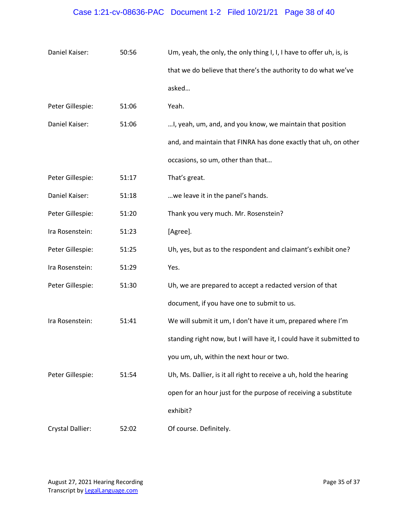# Case 1:21-cv-08636-PAC Document 1-2 Filed 10/21/21 Page 38 of 40

| Daniel Kaiser:   | 50:56 | Um, yeah, the only, the only thing I, I, I have to offer uh, is, is  |  |
|------------------|-------|----------------------------------------------------------------------|--|
|                  |       | that we do believe that there's the authority to do what we've       |  |
|                  |       | asked                                                                |  |
| Peter Gillespie: | 51:06 | Yeah.                                                                |  |
| Daniel Kaiser:   | 51:06 | I, yeah, um, and, and you know, we maintain that position            |  |
|                  |       | and, and maintain that FINRA has done exactly that uh, on other      |  |
|                  |       | occasions, so um, other than that                                    |  |
| Peter Gillespie: | 51:17 | That's great.                                                        |  |
| Daniel Kaiser:   | 51:18 | we leave it in the panel's hands.                                    |  |
| Peter Gillespie: | 51:20 | Thank you very much. Mr. Rosenstein?                                 |  |
| Ira Rosenstein:  | 51:23 | [Agree].                                                             |  |
| Peter Gillespie: | 51:25 | Uh, yes, but as to the respondent and claimant's exhibit one?        |  |
| Ira Rosenstein:  | 51:29 | Yes.                                                                 |  |
| Peter Gillespie: | 51:30 | Uh, we are prepared to accept a redacted version of that             |  |
|                  |       | document, if you have one to submit to us.                           |  |
| Ira Rosenstein:  | 51:41 | We will submit it um, I don't have it um, prepared where I'm         |  |
|                  |       | standing right now, but I will have it, I could have it submitted to |  |
|                  |       | you um, uh, within the next hour or two.                             |  |
| Peter Gillespie: | 51:54 | Uh, Ms. Dallier, is it all right to receive a uh, hold the hearing   |  |
|                  |       | open for an hour just for the purpose of receiving a substitute      |  |
|                  |       | exhibit?                                                             |  |
| Crystal Dallier: | 52:02 | Of course. Definitely.                                               |  |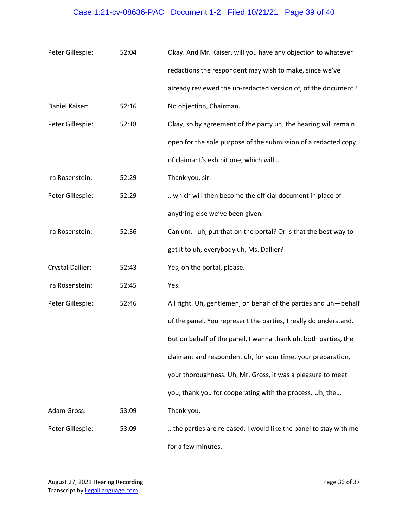## Case 1:21-cv-08636-PAC Document 1-2 Filed 10/21/21 Page 39 of 40

| Peter Gillespie:        | 52:04 | Okay. And Mr. Kaiser, will you have any objection to whatever    |  |
|-------------------------|-------|------------------------------------------------------------------|--|
|                         |       | redactions the respondent may wish to make, since we've          |  |
|                         |       | already reviewed the un-redacted version of, of the document?    |  |
| Daniel Kaiser:          | 52:16 | No objection, Chairman.                                          |  |
| Peter Gillespie:        | 52:18 | Okay, so by agreement of the party uh, the hearing will remain   |  |
|                         |       | open for the sole purpose of the submission of a redacted copy   |  |
|                         |       | of claimant's exhibit one, which will                            |  |
| Ira Rosenstein:         | 52:29 | Thank you, sir.                                                  |  |
| Peter Gillespie:        | 52:29 | which will then become the official document in place of         |  |
|                         |       | anything else we've been given.                                  |  |
| Ira Rosenstein:         | 52:36 | Can um, I uh, put that on the portal? Or is that the best way to |  |
|                         |       | get it to uh, everybody uh, Ms. Dallier?                         |  |
| <b>Crystal Dallier:</b> | 52:43 | Yes, on the portal, please.                                      |  |
| Ira Rosenstein:         | 52:45 | Yes.                                                             |  |
| Peter Gillespie:        | 52:46 | All right. Uh, gentlemen, on behalf of the parties and uh-behalf |  |
|                         |       | of the panel. You represent the parties, I really do understand. |  |
|                         |       | But on behalf of the panel, I wanna thank uh, both parties, the  |  |
|                         |       | claimant and respondent uh, for your time, your preparation,     |  |
|                         |       | your thoroughness. Uh, Mr. Gross, it was a pleasure to meet      |  |
|                         |       | you, thank you for cooperating with the process. Uh, the         |  |
| <b>Adam Gross:</b>      | 53:09 | Thank you.                                                       |  |
| Peter Gillespie:        | 53:09 | the parties are released. I would like the panel to stay with me |  |
|                         |       | for a few minutes.                                               |  |